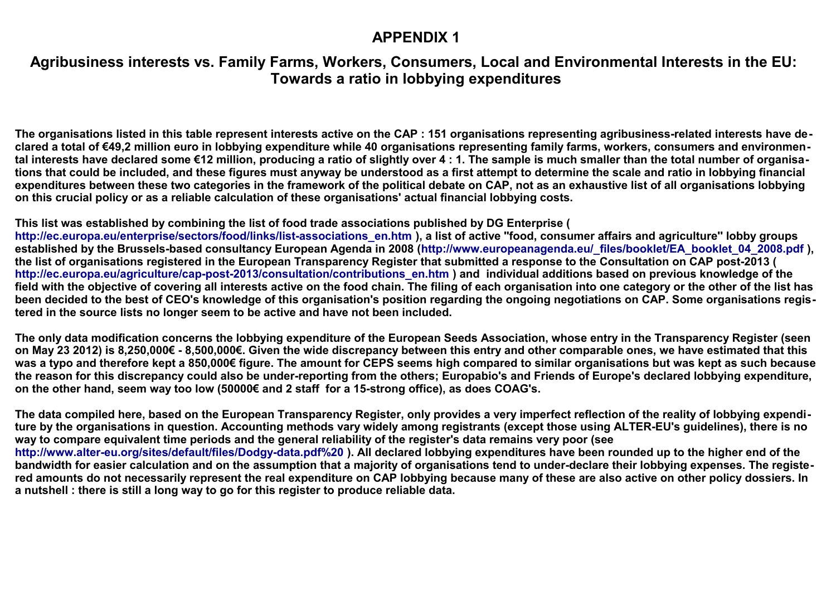## **APPENDIX 1**

## **Agribusiness interests vs. Family Farms, Workers, Consumers, Local and Environmental Interests in the EU: Towards a ratio in lobbying expenditures**

**The organisations listed in this table represent interests active on the CAP : 151 organisations representing agribusiness-related interests have declared a total of €49,2 million euro in lobbying expenditure while 40 organisations representing family farms, workers, consumers and environmental interests have declared some €12 million, producing a ratio of slightly over 4 : 1. The sample is much smaller than the total number of organisations that could be included, and these figures must anyway be understood as a first attempt to determine the scale and ratio in lobbying financial expenditures between these two categories in the framework of the political debate on CAP, not as an exhaustive list of all organisations lobbying on this crucial policy or as a reliable calculation of these organisations' actual financial lobbying costs.**

## **This list was established by combining the list of food trade associations published by DG Enterprise (**

**[http://ec.europa.eu/enterprise/sectors/food/links/list-associations\\_en.htm](http://ec.europa.eu/enterprise/sectors/food/links/list-associations_en.htm) ), a list of active ''food, consumer affairs and agriculture'' lobby groups**  established by the Brussels-based consultancy European Agenda in 2008 ([http://www.europeanagenda.eu/\\_files/booklet/EA\\_booklet\\_04\\_2008.pdf](http://www.europeanagenda.eu/_files/booklet/EA_booklet_04_2008.pdf) ), **the list of organisations registered in the European Transparency Register that submitted a response to the Consultation on CAP post-2013 ( [http://ec.europa.eu/agriculture/cap-post-2013/consultation/contributions\\_en.htm](http://ec.europa.eu/agriculture/cap-post-2013/consultation/contributions_en.htm) ) and individual additions based on previous knowledge of the field with the objective of covering all interests active on the food chain. The filing of each organisation into one category or the other of the list has been decided to the best of CEO's knowledge of this organisation's position regarding the ongoing negotiations on CAP. Some organisations registered in the source lists no longer seem to be active and have not been included.**

**The only data modification concerns the lobbying expenditure of the European Seeds Association, whose entry in the Transparency Register (seen on May 23 2012) is 8,250,000€ - 8,500,000€. Given the wide discrepancy between this entry and other comparable ones, we have estimated that this was a typo and therefore kept a 850,000€ figure. The amount for CEPS seems high compared to similar organisations but was kept as such because the reason for this discrepancy could also be under-reporting from the others; Europabio's and Friends of Europe's declared lobbying expenditure, on the other hand, seem way too low (50000€ and 2 staff for a 15-strong office), as does COAG's.**

**The data compiled here, based on the European Transparency Register, only provides a very imperfect reflection of the reality of lobbying expenditure by the organisations in question. Accounting methods vary widely among registrants (except those using ALTER-EU's guidelines), there is no way to compare equivalent time periods and the general reliability of the register's data remains very poor (see <http://www.alter-eu.org/sites/default/files/Dodgy-data.pdf%20>). All declared lobbying expenditures have been rounded up to the higher end of the bandwidth for easier calculation and on the assumption that a majority of organisations tend to under-declare their lobbying expenses. The registered amounts do not necessarily represent the real expenditure on CAP lobbying because many of these are also active on other policy dossiers. In a nutshell : there is still a long way to go for this register to produce reliable data.**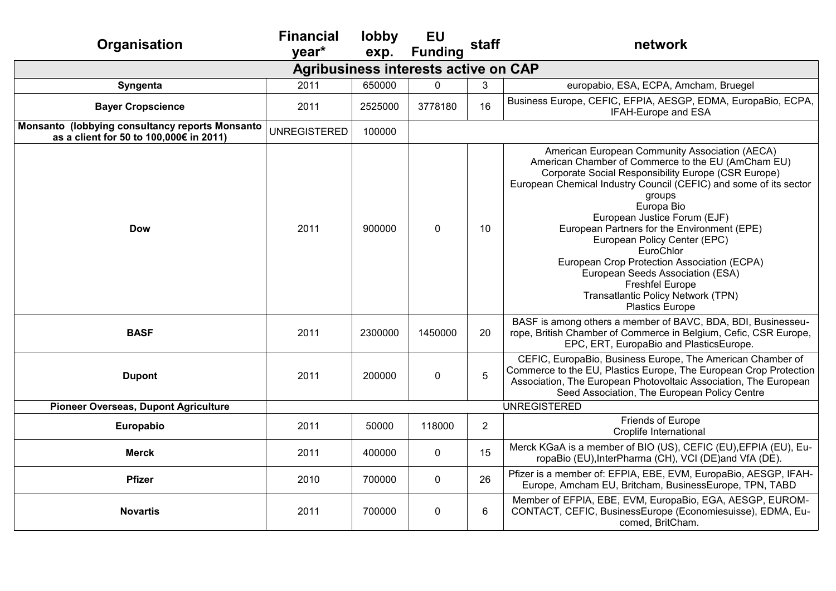| Organisation                                                                               | <b>Financial</b><br>vear*                   | lobby<br>exp. | <b>EU</b><br><b>Funding</b> | staff          | network                                                                                                                                                                                                                                                                                                                                                                                                                                                                                                                                                                  |
|--------------------------------------------------------------------------------------------|---------------------------------------------|---------------|-----------------------------|----------------|--------------------------------------------------------------------------------------------------------------------------------------------------------------------------------------------------------------------------------------------------------------------------------------------------------------------------------------------------------------------------------------------------------------------------------------------------------------------------------------------------------------------------------------------------------------------------|
|                                                                                            | <b>Agribusiness interests active on CAP</b> |               |                             |                |                                                                                                                                                                                                                                                                                                                                                                                                                                                                                                                                                                          |
| Syngenta                                                                                   | 2011                                        | 650000        | $\mathbf 0$                 | 3              | europabio, ESA, ECPA, Amcham, Bruegel                                                                                                                                                                                                                                                                                                                                                                                                                                                                                                                                    |
| <b>Bayer Cropscience</b>                                                                   | 2011                                        | 2525000       | 3778180                     | 16             | Business Europe, CEFIC, EFPIA, AESGP, EDMA, EuropaBio, ECPA,<br>IFAH-Europe and ESA                                                                                                                                                                                                                                                                                                                                                                                                                                                                                      |
| Monsanto (lobbying consultancy reports Monsanto<br>as a client for 50 to 100,000€ in 2011) | <b>UNREGISTERED</b>                         | 100000        |                             |                |                                                                                                                                                                                                                                                                                                                                                                                                                                                                                                                                                                          |
| <b>Dow</b>                                                                                 | 2011                                        | 900000        | $\mathbf 0$                 | 10             | American European Community Association (AECA)<br>American Chamber of Commerce to the EU (AmCham EU)<br>Corporate Social Responsibility Europe (CSR Europe)<br>European Chemical Industry Council (CEFIC) and some of its sector<br>groups<br>Europa Bio<br>European Justice Forum (EJF)<br>European Partners for the Environment (EPE)<br>European Policy Center (EPC)<br>EuroChlor<br>European Crop Protection Association (ECPA)<br>European Seeds Association (ESA)<br><b>Freshfel Europe</b><br><b>Transatlantic Policy Network (TPN)</b><br><b>Plastics Europe</b> |
| <b>BASF</b>                                                                                | 2011                                        | 2300000       | 1450000                     | 20             | BASF is among others a member of BAVC, BDA, BDI, Businesseu-<br>rope, British Chamber of Commerce in Belgium, Cefic, CSR Europe,<br>EPC, ERT, EuropaBio and PlasticsEurope.                                                                                                                                                                                                                                                                                                                                                                                              |
| <b>Dupont</b>                                                                              | 2011                                        | 200000        | $\pmb{0}$                   | 5              | CEFIC, EuropaBio, Business Europe, The American Chamber of<br>Commerce to the EU, Plastics Europe, The European Crop Protection<br>Association, The European Photovoltaic Association, The European<br>Seed Association, The European Policy Centre                                                                                                                                                                                                                                                                                                                      |
| <b>Pioneer Overseas, Dupont Agriculture</b>                                                |                                             |               |                             |                | <b>UNREGISTERED</b>                                                                                                                                                                                                                                                                                                                                                                                                                                                                                                                                                      |
| Europabio                                                                                  | 2011                                        | 50000         | 118000                      | $\overline{2}$ | Friends of Europe<br>Croplife International                                                                                                                                                                                                                                                                                                                                                                                                                                                                                                                              |
| <b>Merck</b>                                                                               | 2011                                        | 400000        | $\pmb{0}$                   | 15             | Merck KGaA is a member of BIO (US), CEFIC (EU), EFPIA (EU), Eu-<br>ropaBio (EU), InterPharma (CH), VCI (DE) and VfA (DE).                                                                                                                                                                                                                                                                                                                                                                                                                                                |
| <b>Pfizer</b>                                                                              | 2010                                        | 700000        | 0                           | 26             | Pfizer is a member of: EFPIA, EBE, EVM, EuropaBio, AESGP, IFAH-<br>Europe, Amcham EU, Britcham, BusinessEurope, TPN, TABD                                                                                                                                                                                                                                                                                                                                                                                                                                                |
| <b>Novartis</b>                                                                            | 2011                                        | 700000        | $\pmb{0}$                   | 6              | Member of EFPIA, EBE, EVM, EuropaBio, EGA, AESGP, EUROM-<br>CONTACT, CEFIC, BusinessEurope (Economiesuisse), EDMA, Eu-<br>comed, BritCham.                                                                                                                                                                                                                                                                                                                                                                                                                               |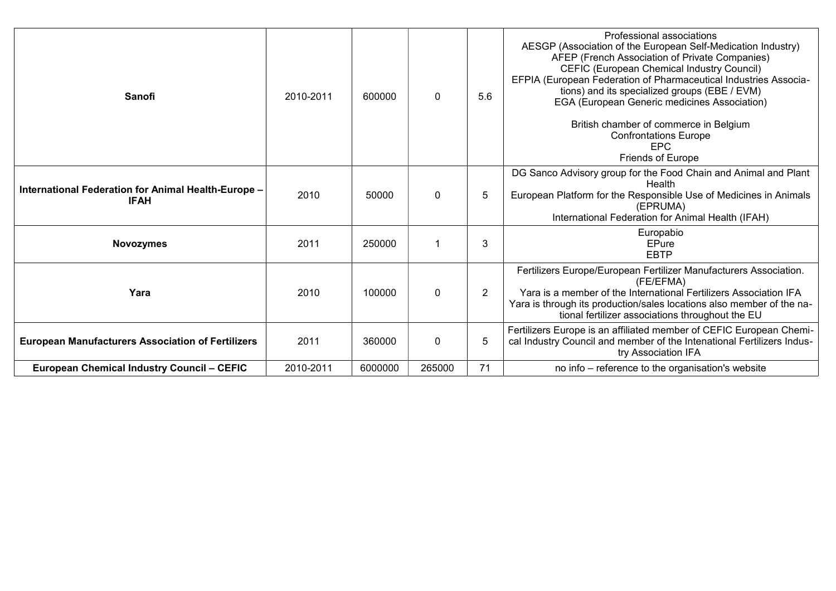| Sanofi                                                             | 2010-2011 | 600000  | $\mathbf 0$ | 5.6            | Professional associations<br>AESGP (Association of the European Self-Medication Industry)<br>AFEP (French Association of Private Companies)<br>CEFIC (European Chemical Industry Council)<br>EFPIA (European Federation of Pharmaceutical Industries Associa-<br>tions) and its specialized groups (EBE / EVM)<br>EGA (European Generic medicines Association)<br>British chamber of commerce in Belgium<br><b>Confrontations Europe</b><br><b>EPC</b><br><b>Friends of Europe</b> |
|--------------------------------------------------------------------|-----------|---------|-------------|----------------|------------------------------------------------------------------------------------------------------------------------------------------------------------------------------------------------------------------------------------------------------------------------------------------------------------------------------------------------------------------------------------------------------------------------------------------------------------------------------------|
| International Federation for Animal Health-Europe -<br><b>IFAH</b> | 2010      | 50000   | $\mathbf 0$ | 5              | DG Sanco Advisory group for the Food Chain and Animal and Plant<br>Health<br>European Platform for the Responsible Use of Medicines in Animals<br>(EPRUMA)<br>International Federation for Animal Health (IFAH)                                                                                                                                                                                                                                                                    |
| <b>Novozymes</b>                                                   | 2011      | 250000  |             | 3              | Europabio<br>EPure<br><b>EBTP</b>                                                                                                                                                                                                                                                                                                                                                                                                                                                  |
| Yara                                                               | 2010      | 100000  | 0           | $\overline{2}$ | Fertilizers Europe/European Fertilizer Manufacturers Association.<br>(FE/EFMA)<br>Yara is a member of the International Fertilizers Association IFA<br>Yara is through its production/sales locations also member of the na-<br>tional fertilizer associations throughout the EU                                                                                                                                                                                                   |
| <b>European Manufacturers Association of Fertilizers</b>           | 2011      | 360000  | $\mathbf 0$ | 5              | Fertilizers Europe is an affiliated member of CEFIC European Chemi-<br>cal Industry Council and member of the Intenational Fertilizers Indus-<br>try Association IFA                                                                                                                                                                                                                                                                                                               |
| <b>European Chemical Industry Council - CEFIC</b>                  | 2010-2011 | 6000000 | 265000      | 71             | no info – reference to the organisation's website                                                                                                                                                                                                                                                                                                                                                                                                                                  |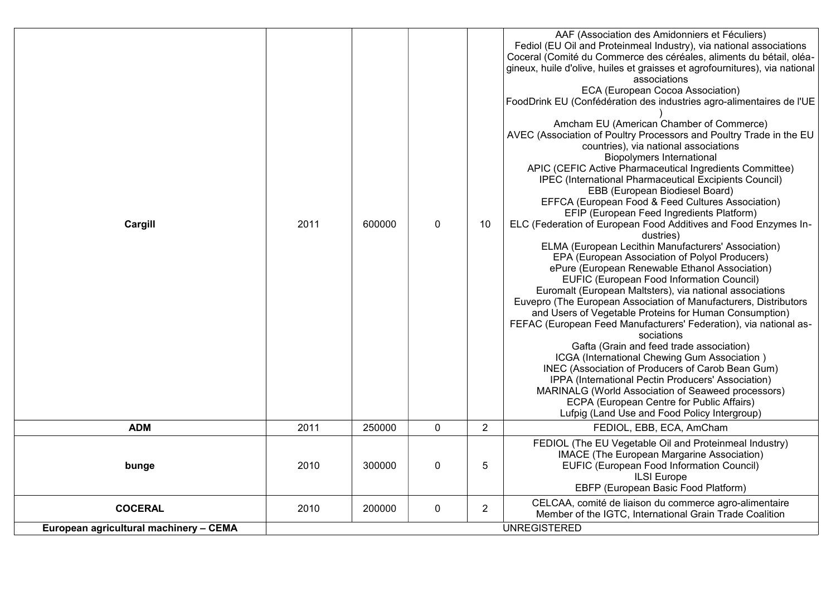| Cargill                                | 2011 | 600000 | $\mathbf 0$ | 10             | AAF (Association des Amidonniers et Féculiers)<br>Fediol (EU Oil and Proteinmeal Industry), via national associations<br>Coceral (Comité du Commerce des céréales, aliments du bétail, oléa-<br>gineux, huile d'olive, huiles et graisses et agrofournitures), via national<br>associations<br>ECA (European Cocoa Association)<br>FoodDrink EU (Confédération des industries agro-alimentaires de l'UE<br>Amcham EU (American Chamber of Commerce)<br>AVEC (Association of Poultry Processors and Poultry Trade in the EU<br>countries), via national associations<br><b>Biopolymers International</b><br>APIC (CEFIC Active Pharmaceutical Ingredients Committee)<br>IPEC (International Pharmaceutical Excipients Council)<br>EBB (European Biodiesel Board)<br>EFFCA (European Food & Feed Cultures Association)<br>EFIP (European Feed Ingredients Platform)<br>ELC (Federation of European Food Additives and Food Enzymes In-<br>dustries)<br>ELMA (European Lecithin Manufacturers' Association)<br>EPA (European Association of Polyol Producers)<br>ePure (European Renewable Ethanol Association)<br>EUFIC (European Food Information Council)<br>Euromalt (European Maltsters), via national associations<br>Euvepro (The European Association of Manufacturers, Distributors<br>and Users of Vegetable Proteins for Human Consumption)<br>FEFAC (European Feed Manufacturers' Federation), via national as-<br>sociations<br>Gafta (Grain and feed trade association)<br>ICGA (International Chewing Gum Association)<br>INEC (Association of Producers of Carob Bean Gum)<br>IPPA (International Pectin Producers' Association)<br>MARINALG (World Association of Seaweed processors)<br>ECPA (European Centre for Public Affairs)<br>Lufpig (Land Use and Food Policy Intergroup) |
|----------------------------------------|------|--------|-------------|----------------|--------------------------------------------------------------------------------------------------------------------------------------------------------------------------------------------------------------------------------------------------------------------------------------------------------------------------------------------------------------------------------------------------------------------------------------------------------------------------------------------------------------------------------------------------------------------------------------------------------------------------------------------------------------------------------------------------------------------------------------------------------------------------------------------------------------------------------------------------------------------------------------------------------------------------------------------------------------------------------------------------------------------------------------------------------------------------------------------------------------------------------------------------------------------------------------------------------------------------------------------------------------------------------------------------------------------------------------------------------------------------------------------------------------------------------------------------------------------------------------------------------------------------------------------------------------------------------------------------------------------------------------------------------------------------------------------------------------------------------------------------------------------------------------------------|
| <b>ADM</b>                             | 2011 | 250000 | $\mathbf 0$ | $\overline{2}$ | FEDIOL, EBB, ECA, AmCham                                                                                                                                                                                                                                                                                                                                                                                                                                                                                                                                                                                                                                                                                                                                                                                                                                                                                                                                                                                                                                                                                                                                                                                                                                                                                                                                                                                                                                                                                                                                                                                                                                                                                                                                                                         |
| bunge                                  | 2010 | 300000 | $\pmb{0}$   | 5              | FEDIOL (The EU Vegetable Oil and Proteinmeal Industry)<br>IMACE (The European Margarine Association)<br>EUFIC (European Food Information Council)<br><b>ILSI</b> Europe<br>EBFP (European Basic Food Platform)                                                                                                                                                                                                                                                                                                                                                                                                                                                                                                                                                                                                                                                                                                                                                                                                                                                                                                                                                                                                                                                                                                                                                                                                                                                                                                                                                                                                                                                                                                                                                                                   |
| <b>COCERAL</b>                         | 2010 | 200000 | $\pmb{0}$   | $\overline{2}$ | CELCAA, comité de liaison du commerce agro-alimentaire<br>Member of the IGTC, International Grain Trade Coalition                                                                                                                                                                                                                                                                                                                                                                                                                                                                                                                                                                                                                                                                                                                                                                                                                                                                                                                                                                                                                                                                                                                                                                                                                                                                                                                                                                                                                                                                                                                                                                                                                                                                                |
| European agricultural machinery - CEMA |      |        |             |                | <b>UNREGISTERED</b>                                                                                                                                                                                                                                                                                                                                                                                                                                                                                                                                                                                                                                                                                                                                                                                                                                                                                                                                                                                                                                                                                                                                                                                                                                                                                                                                                                                                                                                                                                                                                                                                                                                                                                                                                                              |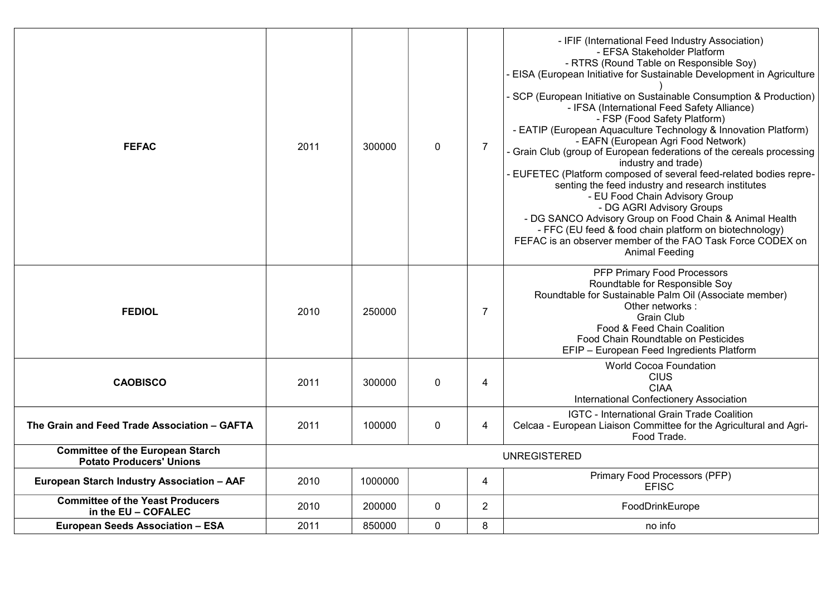| <b>FEFAC</b>                                                               | 2011 | 300000  | $\mathbf 0$ | $\overline{7}$ | - IFIF (International Feed Industry Association)<br>- EFSA Stakeholder Platform<br>- RTRS (Round Table on Responsible Soy)<br>- EISA (European Initiative for Sustainable Development in Agriculture<br>- SCP (European Initiative on Sustainable Consumption & Production)<br>- IFSA (International Feed Safety Alliance)<br>- FSP (Food Safety Platform)<br>- EATIP (European Aquaculture Technology & Innovation Platform)<br>- EAFN (European Agri Food Network)<br>- Grain Club (group of European federations of the cereals processing<br>industry and trade)<br>EUFETEC (Platform composed of several feed-related bodies repre-<br>senting the feed industry and research institutes<br>- EU Food Chain Advisory Group<br>- DG AGRI Advisory Groups<br>- DG SANCO Advisory Group on Food Chain & Animal Health<br>- FFC (EU feed & food chain platform on biotechnology)<br>FEFAC is an observer member of the FAO Task Force CODEX on<br><b>Animal Feeding</b> |
|----------------------------------------------------------------------------|------|---------|-------------|----------------|--------------------------------------------------------------------------------------------------------------------------------------------------------------------------------------------------------------------------------------------------------------------------------------------------------------------------------------------------------------------------------------------------------------------------------------------------------------------------------------------------------------------------------------------------------------------------------------------------------------------------------------------------------------------------------------------------------------------------------------------------------------------------------------------------------------------------------------------------------------------------------------------------------------------------------------------------------------------------|
| <b>FEDIOL</b>                                                              | 2010 | 250000  |             | 7              | PFP Primary Food Processors<br>Roundtable for Responsible Soy<br>Roundtable for Sustainable Palm Oil (Associate member)<br>Other networks:<br><b>Grain Club</b><br>Food & Feed Chain Coalition<br>Food Chain Roundtable on Pesticides<br>EFIP - European Feed Ingredients Platform                                                                                                                                                                                                                                                                                                                                                                                                                                                                                                                                                                                                                                                                                       |
| <b>CAOBISCO</b>                                                            | 2011 | 300000  | $\mathbf 0$ | 4              | World Cocoa Foundation<br><b>CIUS</b><br><b>CIAA</b><br><b>International Confectionery Association</b>                                                                                                                                                                                                                                                                                                                                                                                                                                                                                                                                                                                                                                                                                                                                                                                                                                                                   |
| The Grain and Feed Trade Association - GAFTA                               | 2011 | 100000  | $\mathbf 0$ | 4              | IGTC - International Grain Trade Coalition<br>Celcaa - European Liaison Committee for the Agricultural and Agri-<br>Food Trade.                                                                                                                                                                                                                                                                                                                                                                                                                                                                                                                                                                                                                                                                                                                                                                                                                                          |
| <b>Committee of the European Starch</b><br><b>Potato Producers' Unions</b> |      |         |             |                | <b>UNREGISTERED</b>                                                                                                                                                                                                                                                                                                                                                                                                                                                                                                                                                                                                                                                                                                                                                                                                                                                                                                                                                      |
| European Starch Industry Association - AAF                                 | 2010 | 1000000 |             | 4              | Primary Food Processors (PFP)<br><b>EFISC</b>                                                                                                                                                                                                                                                                                                                                                                                                                                                                                                                                                                                                                                                                                                                                                                                                                                                                                                                            |
| <b>Committee of the Yeast Producers</b><br>in the EU - COFALEC             | 2010 | 200000  | $\mathbf 0$ | $\overline{2}$ | FoodDrinkEurope                                                                                                                                                                                                                                                                                                                                                                                                                                                                                                                                                                                                                                                                                                                                                                                                                                                                                                                                                          |
| European Seeds Association - ESA                                           | 2011 | 850000  | $\mathbf 0$ | 8              | no info                                                                                                                                                                                                                                                                                                                                                                                                                                                                                                                                                                                                                                                                                                                                                                                                                                                                                                                                                                  |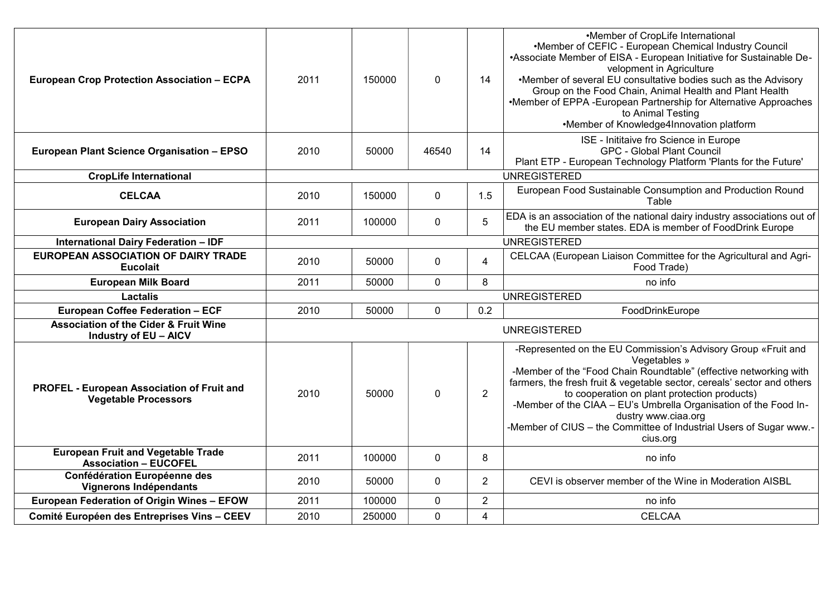| <b>European Crop Protection Association - ECPA</b>                               | 2011 | 150000 | $\mathbf 0$    | 14             | •Member of CropLife International<br>•Member of CEFIC - European Chemical Industry Council<br>•Associate Member of EISA - European Initiative for Sustainable De-<br>velopment in Agriculture<br>•Member of several EU consultative bodies such as the Advisory<br>Group on the Food Chain, Animal Health and Plant Health<br>•Member of EPPA -European Partnership for Alternative Approaches<br>to Animal Testing                                        |
|----------------------------------------------------------------------------------|------|--------|----------------|----------------|------------------------------------------------------------------------------------------------------------------------------------------------------------------------------------------------------------------------------------------------------------------------------------------------------------------------------------------------------------------------------------------------------------------------------------------------------------|
|                                                                                  |      |        |                |                | •Member of Knowledge4Innovation platform                                                                                                                                                                                                                                                                                                                                                                                                                   |
| European Plant Science Organisation - EPSO                                       | 2010 | 50000  | 46540          | 14             | ISE - Inititaive fro Science in Europe<br><b>GPC - Global Plant Council</b><br>Plant ETP - European Technology Platform 'Plants for the Future'                                                                                                                                                                                                                                                                                                            |
| <b>CropLife International</b>                                                    |      |        |                |                | <b>UNREGISTERED</b>                                                                                                                                                                                                                                                                                                                                                                                                                                        |
| <b>CELCAA</b>                                                                    | 2010 | 150000 | 0              | 1.5            | European Food Sustainable Consumption and Production Round<br>Table                                                                                                                                                                                                                                                                                                                                                                                        |
| <b>European Dairy Association</b>                                                | 2011 | 100000 | 0              | 5              | EDA is an association of the national dairy industry associations out of<br>the EU member states. EDA is member of FoodDrink Europe                                                                                                                                                                                                                                                                                                                        |
| <b>International Dairy Federation - IDF</b>                                      |      |        |                |                | <b>UNREGISTERED</b>                                                                                                                                                                                                                                                                                                                                                                                                                                        |
| <b>EUROPEAN ASSOCIATION OF DAIRY TRADE</b><br><b>Eucolait</b>                    | 2010 | 50000  | $\mathbf 0$    | 4              | CELCAA (European Liaison Committee for the Agricultural and Agri-<br>Food Trade)                                                                                                                                                                                                                                                                                                                                                                           |
| <b>European Milk Board</b>                                                       | 2011 | 50000  | $\mathbf 0$    | 8              | no info                                                                                                                                                                                                                                                                                                                                                                                                                                                    |
| <b>Lactalis</b>                                                                  |      |        |                |                | <b>UNREGISTERED</b>                                                                                                                                                                                                                                                                                                                                                                                                                                        |
| European Coffee Federation - ECF                                                 | 2010 | 50000  | $\overline{0}$ | 0.2            | FoodDrinkEurope                                                                                                                                                                                                                                                                                                                                                                                                                                            |
| <b>Association of the Cider &amp; Fruit Wine</b><br><b>Industry of EU - AICV</b> |      |        |                |                | <b>UNREGISTERED</b>                                                                                                                                                                                                                                                                                                                                                                                                                                        |
| <b>PROFEL - European Association of Fruit and</b><br><b>Vegetable Processors</b> | 2010 | 50000  | $\mathbf 0$    | $\overline{2}$ | -Represented on the EU Commission's Advisory Group «Fruit and<br>Vegetables »<br>-Member of the "Food Chain Roundtable" (effective networking with<br>farmers, the fresh fruit & vegetable sector, cereals' sector and others<br>to cooperation on plant protection products)<br>-Member of the CIAA - EU's Umbrella Organisation of the Food In-<br>dustry www.ciaa.org<br>-Member of CIUS - the Committee of Industrial Users of Sugar www.-<br>cius.org |
| <b>European Fruit and Vegetable Trade</b><br><b>Association - EUCOFEL</b>        | 2011 | 100000 | $\mathbf 0$    | 8              | no info                                                                                                                                                                                                                                                                                                                                                                                                                                                    |
| Confédération Européenne des<br><b>Vignerons Indépendants</b>                    | 2010 | 50000  | 0              | $\overline{2}$ | CEVI is observer member of the Wine in Moderation AISBL                                                                                                                                                                                                                                                                                                                                                                                                    |
| European Federation of Origin Wines - EFOW                                       | 2011 | 100000 | 0              | $\overline{2}$ | no info                                                                                                                                                                                                                                                                                                                                                                                                                                                    |
| Comité Européen des Entreprises Vins - CEEV                                      | 2010 | 250000 | $\overline{0}$ | 4              | <b>CELCAA</b>                                                                                                                                                                                                                                                                                                                                                                                                                                              |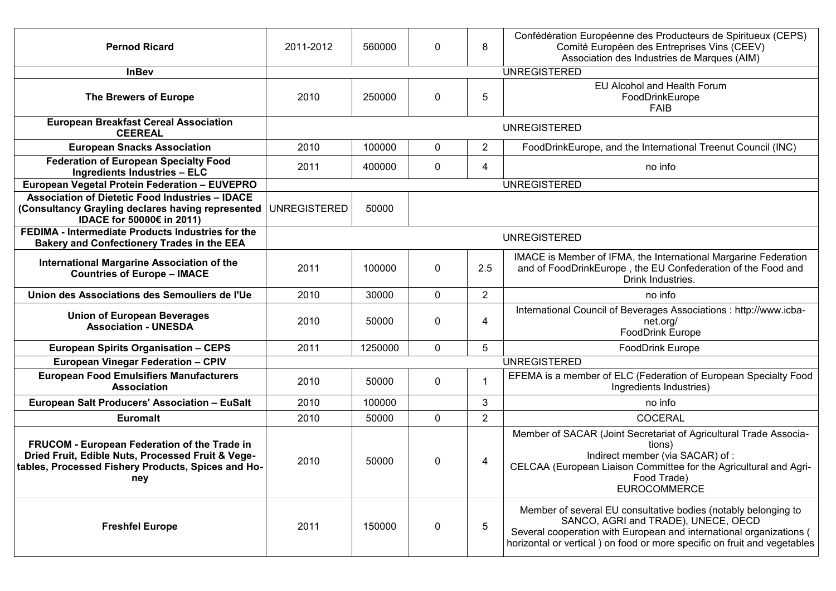| <b>Pernod Ricard</b>                                                                                                                                           | 2011-2012           | 560000  | 0           | 8              | Confédération Européenne des Producteurs de Spiritueux (CEPS)<br>Comité Européen des Entreprises Vins (CEEV)<br>Association des Industries de Marques (AIM)                                                                                               |
|----------------------------------------------------------------------------------------------------------------------------------------------------------------|---------------------|---------|-------------|----------------|-----------------------------------------------------------------------------------------------------------------------------------------------------------------------------------------------------------------------------------------------------------|
| <b>InBev</b>                                                                                                                                                   |                     |         |             |                | <b>UNREGISTERED</b>                                                                                                                                                                                                                                       |
| <b>The Brewers of Europe</b>                                                                                                                                   | 2010                | 250000  | 0           | 5              | EU Alcohol and Health Forum<br>FoodDrinkEurope<br><b>FAIB</b>                                                                                                                                                                                             |
| <b>European Breakfast Cereal Association</b><br><b>CEEREAL</b>                                                                                                 |                     |         |             |                | <b>UNREGISTERED</b>                                                                                                                                                                                                                                       |
| <b>European Snacks Association</b>                                                                                                                             | 2010                | 100000  | 0           | $\overline{2}$ | FoodDrinkEurope, and the International Treenut Council (INC)                                                                                                                                                                                              |
| <b>Federation of European Specialty Food</b><br><b>Ingredients Industries - ELC</b>                                                                            | 2011                | 400000  | $\mathbf 0$ | 4              | no info                                                                                                                                                                                                                                                   |
| European Vegetal Protein Federation - EUVEPRO                                                                                                                  |                     |         |             |                | <b>UNREGISTERED</b>                                                                                                                                                                                                                                       |
| <b>Association of Dietetic Food Industries - IDACE</b><br>(Consultancy Grayling declares having represented<br>IDACE for 50000€ in 2011)                       | <b>UNREGISTERED</b> | 50000   |             |                |                                                                                                                                                                                                                                                           |
| FEDIMA - Intermediate Products Industries for the<br><b>Bakery and Confectionery Trades in the EEA</b>                                                         |                     |         |             |                | <b>UNREGISTERED</b>                                                                                                                                                                                                                                       |
| International Margarine Association of the<br><b>Countries of Europe - IMACE</b>                                                                               | 2011                | 100000  | $\mathbf 0$ | 2.5            | IMACE is Member of IFMA, the International Margarine Federation<br>and of FoodDrinkEurope, the EU Confederation of the Food and<br>Drink Industries.                                                                                                      |
| Union des Associations des Semouliers de l'Ue                                                                                                                  | 2010                | 30000   | $\mathbf 0$ | $\overline{2}$ | no info                                                                                                                                                                                                                                                   |
| <b>Union of European Beverages</b><br><b>Association - UNESDA</b>                                                                                              | 2010                | 50000   | $\mathbf 0$ | 4              | International Council of Beverages Associations : http://www.icba-<br>net.org/<br><b>FoodDrink Europe</b>                                                                                                                                                 |
| <b>European Spirits Organisation - CEPS</b>                                                                                                                    | 2011                | 1250000 | $\mathbf 0$ | 5              | <b>FoodDrink Europe</b>                                                                                                                                                                                                                                   |
| <b>European Vinegar Federation - CPIV</b>                                                                                                                      |                     |         |             |                | <b>UNREGISTERED</b>                                                                                                                                                                                                                                       |
| <b>European Food Emulsifiers Manufacturers</b><br><b>Association</b>                                                                                           | 2010                | 50000   | 0           | 1              | EFEMA is a member of ELC (Federation of European Specialty Food<br>Ingredients Industries)                                                                                                                                                                |
| European Salt Producers' Association - EuSalt                                                                                                                  | 2010                | 100000  |             | $\mathbf{3}$   | no info                                                                                                                                                                                                                                                   |
| <b>Euromalt</b>                                                                                                                                                | 2010                | 50000   | $\mathbf 0$ | $\overline{2}$ | <b>COCERAL</b>                                                                                                                                                                                                                                            |
| FRUCOM - European Federation of the Trade in<br>Dried Fruit, Edible Nuts, Processed Fruit & Vege-<br>tables, Processed Fishery Products, Spices and Ho-<br>ney | 2010                | 50000   | $\mathbf 0$ | 4              | Member of SACAR (Joint Secretariat of Agricultural Trade Associa-<br>tions)<br>Indirect member (via SACAR) of :<br>CELCAA (European Liaison Committee for the Agricultural and Agri-<br>Food Trade)<br><b>EUROCOMMERCE</b>                                |
| <b>Freshfel Europe</b>                                                                                                                                         | 2011                | 150000  | $\mathbf 0$ | 5              | Member of several EU consultative bodies (notably belonging to<br>SANCO, AGRI and TRADE), UNECE, OECD<br>Several cooperation with European and international organizations (<br>horizontal or vertical ) on food or more specific on fruit and vegetables |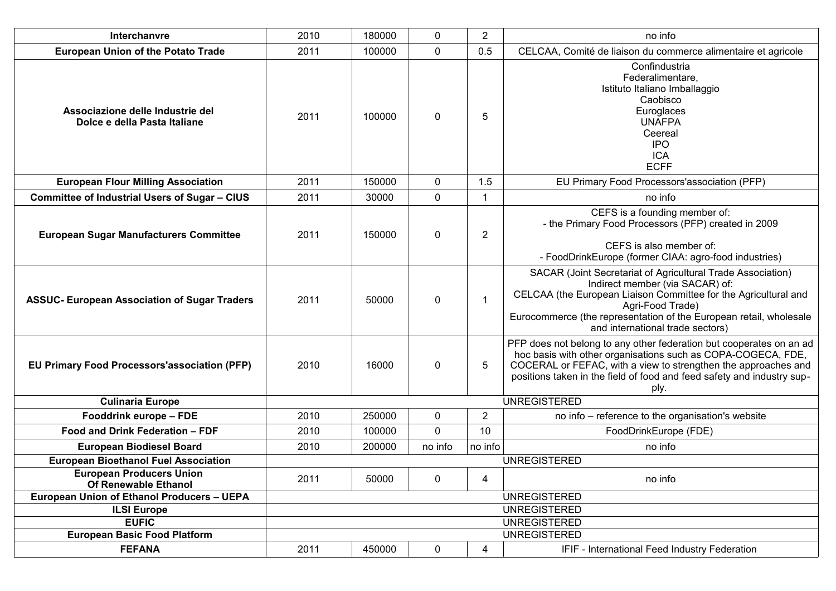| Interchanvre                                                     | 2010 | 180000                                                                                                                                                                                                                                                                   | 0       | $\overline{2}$ | no info                                                                                                                                                                                                                                                                                         |  |  |  |
|------------------------------------------------------------------|------|--------------------------------------------------------------------------------------------------------------------------------------------------------------------------------------------------------------------------------------------------------------------------|---------|----------------|-------------------------------------------------------------------------------------------------------------------------------------------------------------------------------------------------------------------------------------------------------------------------------------------------|--|--|--|
| <b>European Union of the Potato Trade</b>                        | 2011 | 100000                                                                                                                                                                                                                                                                   | 0       | 0.5            | CELCAA, Comité de liaison du commerce alimentaire et agricole                                                                                                                                                                                                                                   |  |  |  |
| Associazione delle Industrie del<br>Dolce e della Pasta Italiane | 2011 | 100000                                                                                                                                                                                                                                                                   | 0       | 5              | Confindustria<br>Federalimentare,<br>Istituto Italiano Imballaggio<br>Caobisco<br>Euroglaces<br><b>UNAFPA</b><br>Ceereal<br><b>IPO</b><br><b>ICA</b><br><b>ECFF</b>                                                                                                                             |  |  |  |
| <b>European Flour Milling Association</b>                        | 2011 | 150000                                                                                                                                                                                                                                                                   | 0       | 1.5            | EU Primary Food Processors'association (PFP)                                                                                                                                                                                                                                                    |  |  |  |
| <b>Committee of Industrial Users of Sugar - CIUS</b>             | 2011 | 30000                                                                                                                                                                                                                                                                    | 0       | 1              | no info                                                                                                                                                                                                                                                                                         |  |  |  |
| <b>European Sugar Manufacturers Committee</b>                    | 2011 | 150000                                                                                                                                                                                                                                                                   | 0       | $\overline{2}$ | CEFS is a founding member of:<br>- the Primary Food Processors (PFP) created in 2009<br>CEFS is also member of:<br>- FoodDrinkEurope (former CIAA: agro-food industries)                                                                                                                        |  |  |  |
| <b>ASSUC- European Association of Sugar Traders</b>              | 2011 | 50000                                                                                                                                                                                                                                                                    | 0       | $\mathbf{1}$   | SACAR (Joint Secretariat of Agricultural Trade Association)<br>Indirect member (via SACAR) of:<br>CELCAA (the European Liaison Committee for the Agricultural and<br>Agri-Food Trade)<br>Eurocommerce (the representation of the European retail, wholesale<br>and international trade sectors) |  |  |  |
| <b>EU Primary Food Processors'association (PFP)</b>              | 2010 | 16000                                                                                                                                                                                                                                                                    | 0       | 5              | PFP does not belong to any other federation but cooperates on an ad<br>hoc basis with other organisations such as COPA-COGECA, FDE,<br>COCERAL or FEFAC, with a view to strengthen the approaches and<br>positions taken in the field of food and feed safety and industry sup-<br>ply.         |  |  |  |
| <b>Culinaria Europe</b>                                          |      |                                                                                                                                                                                                                                                                          |         |                |                                                                                                                                                                                                                                                                                                 |  |  |  |
| Fooddrink europe - FDE                                           | 2010 | 250000                                                                                                                                                                                                                                                                   | 0       | $\overline{2}$ |                                                                                                                                                                                                                                                                                                 |  |  |  |
| Food and Drink Federation - FDF                                  | 2010 | 100000                                                                                                                                                                                                                                                                   | 0       | 10             | FoodDrinkEurope (FDE)                                                                                                                                                                                                                                                                           |  |  |  |
| <b>European Biodiesel Board</b>                                  | 2010 | 200000                                                                                                                                                                                                                                                                   | no info | no info        | no info                                                                                                                                                                                                                                                                                         |  |  |  |
| <b>European Bioethanol Fuel Association</b>                      |      |                                                                                                                                                                                                                                                                          |         |                |                                                                                                                                                                                                                                                                                                 |  |  |  |
| <b>European Producers Union</b><br>Of Renewable Ethanol          | 2011 | 50000                                                                                                                                                                                                                                                                    | 0       | 4              | no info                                                                                                                                                                                                                                                                                         |  |  |  |
| European Union of Ethanol Producers - UEPA                       |      |                                                                                                                                                                                                                                                                          |         |                |                                                                                                                                                                                                                                                                                                 |  |  |  |
| <b>ILSI Europe</b>                                               |      | <b>UNREGISTERED</b><br>no info – reference to the organisation's website<br><b>UNREGISTERED</b><br><b>UNREGISTERED</b><br><b>UNREGISTERED</b><br><b>UNREGISTERED</b><br><b>UNREGISTERED</b><br>450000<br>0<br>2011<br>IFIF - International Feed Industry Federation<br>4 |         |                |                                                                                                                                                                                                                                                                                                 |  |  |  |
| <b>EUFIC</b>                                                     |      |                                                                                                                                                                                                                                                                          |         |                |                                                                                                                                                                                                                                                                                                 |  |  |  |
| <b>European Basic Food Platform</b>                              |      |                                                                                                                                                                                                                                                                          |         |                |                                                                                                                                                                                                                                                                                                 |  |  |  |
| <b>FEFANA</b>                                                    |      |                                                                                                                                                                                                                                                                          |         |                |                                                                                                                                                                                                                                                                                                 |  |  |  |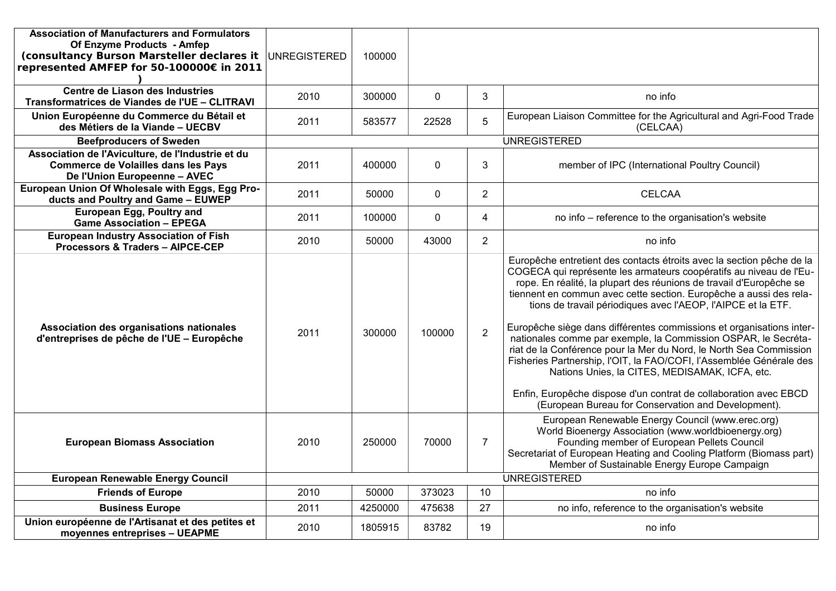| <b>Association of Manufacturers and Formulators</b><br>Of Enzyme Products - Amfep<br>(consultancy Burson Marsteller declares it<br>represented AMFEP for 50-100000€ in 2011 | <b>UNREGISTERED</b> | 100000  |             |                |                                                                                                                                                                                                                                                                                                                                                                                                                                                                                                                                                                                                                                                                                                                                                                                                                              |
|-----------------------------------------------------------------------------------------------------------------------------------------------------------------------------|---------------------|---------|-------------|----------------|------------------------------------------------------------------------------------------------------------------------------------------------------------------------------------------------------------------------------------------------------------------------------------------------------------------------------------------------------------------------------------------------------------------------------------------------------------------------------------------------------------------------------------------------------------------------------------------------------------------------------------------------------------------------------------------------------------------------------------------------------------------------------------------------------------------------------|
| Centre de Liason des Industries<br>Transformatrices de Viandes de l'UE - CLITRAVI                                                                                           | 2010                | 300000  | $\mathbf 0$ | 3              | no info                                                                                                                                                                                                                                                                                                                                                                                                                                                                                                                                                                                                                                                                                                                                                                                                                      |
| Union Européenne du Commerce du Bétail et<br>des Métiers de la Viande - UECBV                                                                                               | 2011                | 583577  | 22528       | 5              | European Liaison Committee for the Agricultural and Agri-Food Trade<br>(CELCAA)                                                                                                                                                                                                                                                                                                                                                                                                                                                                                                                                                                                                                                                                                                                                              |
| <b>Beefproducers of Sweden</b>                                                                                                                                              |                     |         |             |                | <b>UNREGISTERED</b>                                                                                                                                                                                                                                                                                                                                                                                                                                                                                                                                                                                                                                                                                                                                                                                                          |
| Association de l'Aviculture, de l'Industrie et du<br><b>Commerce de Volailles dans les Pays</b><br>De l'Union Europeenne - AVEC                                             | 2011                | 400000  | $\mathbf 0$ | 3              | member of IPC (International Poultry Council)                                                                                                                                                                                                                                                                                                                                                                                                                                                                                                                                                                                                                                                                                                                                                                                |
| European Union Of Wholesale with Eggs, Egg Pro-<br>ducts and Poultry and Game - EUWEP                                                                                       | 2011                | 50000   | $\mathbf 0$ | $\overline{2}$ | <b>CELCAA</b>                                                                                                                                                                                                                                                                                                                                                                                                                                                                                                                                                                                                                                                                                                                                                                                                                |
| European Egg, Poultry and<br><b>Game Association - EPEGA</b>                                                                                                                | 2011                | 100000  | $\mathbf 0$ | $\overline{4}$ | no info - reference to the organisation's website                                                                                                                                                                                                                                                                                                                                                                                                                                                                                                                                                                                                                                                                                                                                                                            |
| <b>European Industry Association of Fish</b><br>Processors & Traders - AIPCE-CEP                                                                                            | 2010                | 50000   | 43000       | $\overline{2}$ | no info                                                                                                                                                                                                                                                                                                                                                                                                                                                                                                                                                                                                                                                                                                                                                                                                                      |
| Association des organisations nationales<br>d'entreprises de pêche de l'UE - Europêche                                                                                      | 2011                | 300000  | 100000      | $\overline{2}$ | Europêche entretient des contacts étroits avec la section pêche de la<br>COGECA qui représente les armateurs coopératifs au niveau de l'Eu-<br>rope. En réalité, la plupart des réunions de travail d'Europêche se<br>tiennent en commun avec cette section. Europêche a aussi des rela-<br>tions de travail périodiques avec l'AEOP, l'AIPCE et la ETF.<br>Europêche siège dans différentes commissions et organisations inter-<br>nationales comme par exemple, la Commission OSPAR, le Secréta-<br>riat de la Conférence pour la Mer du Nord, le North Sea Commission<br>Fisheries Partnership, l'OIT, la FAO/COFI, l'Assemblée Générale des<br>Nations Unies, la CITES, MEDISAMAK, ICFA, etc.<br>Enfin, Europêche dispose d'un contrat de collaboration avec EBCD<br>(European Bureau for Conservation and Development). |
| <b>European Biomass Association</b>                                                                                                                                         | 2010                | 250000  | 70000       | $\overline{7}$ | European Renewable Energy Council (www.erec.org)<br>World Bioenergy Association (www.worldbioenergy.org)<br>Founding member of European Pellets Council<br>Secretariat of European Heating and Cooling Platform (Biomass part)<br>Member of Sustainable Energy Europe Campaign                                                                                                                                                                                                                                                                                                                                                                                                                                                                                                                                               |
| <b>European Renewable Energy Council</b>                                                                                                                                    |                     |         |             |                | <b>UNREGISTERED</b>                                                                                                                                                                                                                                                                                                                                                                                                                                                                                                                                                                                                                                                                                                                                                                                                          |
| <b>Friends of Europe</b>                                                                                                                                                    | 2010                | 50000   | 373023      | 10             | no info                                                                                                                                                                                                                                                                                                                                                                                                                                                                                                                                                                                                                                                                                                                                                                                                                      |
| <b>Business Europe</b>                                                                                                                                                      | 2011                | 4250000 | 475638      | 27             | no info, reference to the organisation's website                                                                                                                                                                                                                                                                                                                                                                                                                                                                                                                                                                                                                                                                                                                                                                             |
| Union européenne de l'Artisanat et des petites et<br>moyennes entreprises - UEAPME                                                                                          | 2010                | 1805915 | 83782       | 19             | no info                                                                                                                                                                                                                                                                                                                                                                                                                                                                                                                                                                                                                                                                                                                                                                                                                      |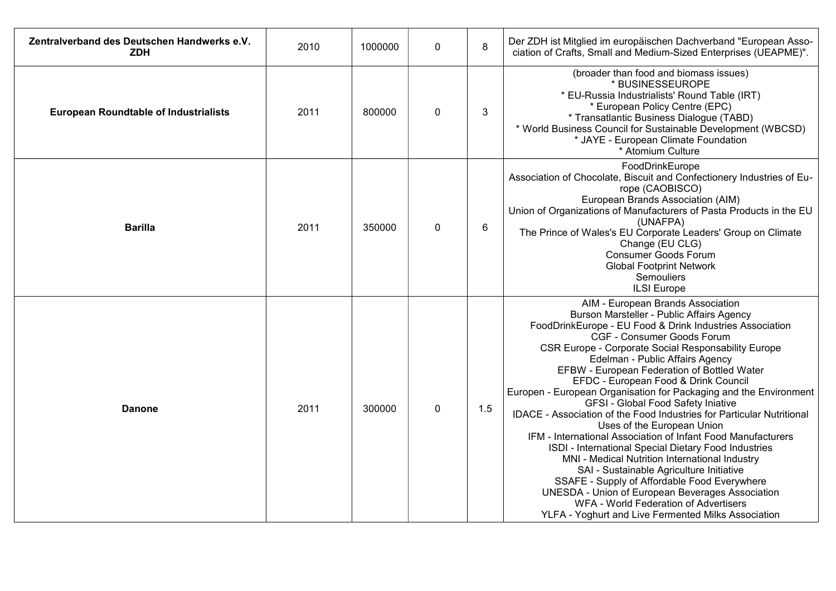| Zentralverband des Deutschen Handwerks e.V.<br><b>ZDH</b> | 2010 | 1000000 | $\mathbf{0}$ | 8   | Der ZDH ist Mitglied im europäischen Dachverband "European Asso-<br>ciation of Crafts, Small and Medium-Sized Enterprises (UEAPME)".                                                                                                                                                                                                                                                                                                                                                                                                                                                                                                                                                                                                                                                                                                                                                                                                                                                                         |
|-----------------------------------------------------------|------|---------|--------------|-----|--------------------------------------------------------------------------------------------------------------------------------------------------------------------------------------------------------------------------------------------------------------------------------------------------------------------------------------------------------------------------------------------------------------------------------------------------------------------------------------------------------------------------------------------------------------------------------------------------------------------------------------------------------------------------------------------------------------------------------------------------------------------------------------------------------------------------------------------------------------------------------------------------------------------------------------------------------------------------------------------------------------|
| <b>European Roundtable of Industrialists</b>              | 2011 | 800000  | 0            | 3   | (broader than food and biomass issues)<br>* BUSINESSEUROPE<br>* EU-Russia Industrialists' Round Table (IRT)<br>* European Policy Centre (EPC)<br>* Transatlantic Business Dialogue (TABD)<br>* World Business Council for Sustainable Development (WBCSD)<br>* JAYE - European Climate Foundation<br>* Atomium Culture                                                                                                                                                                                                                                                                                                                                                                                                                                                                                                                                                                                                                                                                                       |
| <b>Barilla</b>                                            | 2011 | 350000  | 0            | 6   | FoodDrinkEurope<br>Association of Chocolate, Biscuit and Confectionery Industries of Eu-<br>rope (CAOBISCO)<br>European Brands Association (AIM)<br>Union of Organizations of Manufacturers of Pasta Products in the EU<br>(UNAFPA)<br>The Prince of Wales's EU Corporate Leaders' Group on Climate<br>Change (EU CLG)<br><b>Consumer Goods Forum</b><br><b>Global Footprint Network</b><br>Semouliers<br><b>ILSI</b> Europe                                                                                                                                                                                                                                                                                                                                                                                                                                                                                                                                                                                 |
| <b>Danone</b>                                             | 2011 | 300000  | 0            | 1.5 | AIM - European Brands Association<br>Burson Marsteller - Public Affairs Agency<br>FoodDrinkEurope - EU Food & Drink Industries Association<br>CGF - Consumer Goods Forum<br>CSR Europe - Corporate Social Responsability Europe<br>Edelman - Public Affairs Agency<br>EFBW - European Federation of Bottled Water<br>EFDC - European Food & Drink Council<br>Europen - European Organisation for Packaging and the Environment<br>GFSI - Global Food Safety Iniative<br>IDACE - Association of the Food Industries for Particular Nutritional<br>Uses of the European Union<br>IFM - International Association of Infant Food Manufacturers<br>ISDI - International Special Dietary Food Industries<br>MNI - Medical Nutrition International Industry<br>SAI - Sustainable Agriculture Initiative<br>SSAFE - Supply of Affordable Food Everywhere<br><b>UNESDA - Union of European Beverages Association</b><br>WFA - World Federation of Advertisers<br>YLFA - Yoghurt and Live Fermented Milks Association |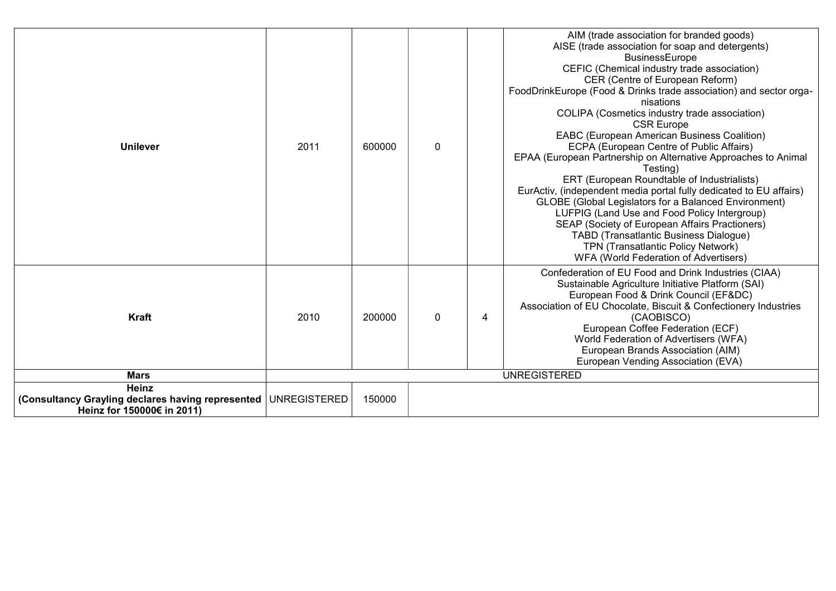| <b>Unilever</b>                                                                                | 2011 | 600000 | $\mathbf{0}$ |   | AIM (trade association for branded goods)<br>AISE (trade association for soap and detergents)<br><b>BusinessEurope</b><br>CEFIC (Chemical industry trade association)<br>CER (Centre of European Reform)<br>FoodDrinkEurope (Food & Drinks trade association) and sector orga-<br>nisations<br>COLIPA (Cosmetics industry trade association)<br><b>CSR Europe</b><br>EABC (European American Business Coalition)<br>ECPA (European Centre of Public Affairs)<br>EPAA (European Partnership on Alternative Approaches to Animal<br>Testina)<br>ERT (European Roundtable of Industrialists)<br>EurActiv, (independent media portal fully dedicated to EU affairs)<br>GLOBE (Global Legislators for a Balanced Environment)<br>LUFPIG (Land Use and Food Policy Intergroup)<br>SEAP (Society of European Affairs Practioners)<br>TABD (Transatlantic Business Dialogue)<br>TPN (Transatlantic Policy Network)<br>WFA (World Federation of Advertisers) |
|------------------------------------------------------------------------------------------------|------|--------|--------------|---|-----------------------------------------------------------------------------------------------------------------------------------------------------------------------------------------------------------------------------------------------------------------------------------------------------------------------------------------------------------------------------------------------------------------------------------------------------------------------------------------------------------------------------------------------------------------------------------------------------------------------------------------------------------------------------------------------------------------------------------------------------------------------------------------------------------------------------------------------------------------------------------------------------------------------------------------------------|
| Kraft<br><b>Mars</b>                                                                           | 2010 | 200000 | $\Omega$     | 4 | Confederation of EU Food and Drink Industries (CIAA)<br>Sustainable Agriculture Initiative Platform (SAI)<br>European Food & Drink Council (EF&DC)<br>Association of EU Chocolate, Biscuit & Confectionery Industries<br>(CAOBISCO)<br>European Coffee Federation (ECF)<br>World Federation of Advertisers (WFA)<br>European Brands Association (AIM)<br>European Vending Association (EVA)<br><b>UNREGISTERED</b>                                                                                                                                                                                                                                                                                                                                                                                                                                                                                                                                  |
| <b>Heinz</b>                                                                                   |      |        |              |   |                                                                                                                                                                                                                                                                                                                                                                                                                                                                                                                                                                                                                                                                                                                                                                                                                                                                                                                                                     |
| (Consultancy Grayling declares having represented   UNREGISTERED<br>Heinz for 150000€ in 2011) |      | 150000 |              |   |                                                                                                                                                                                                                                                                                                                                                                                                                                                                                                                                                                                                                                                                                                                                                                                                                                                                                                                                                     |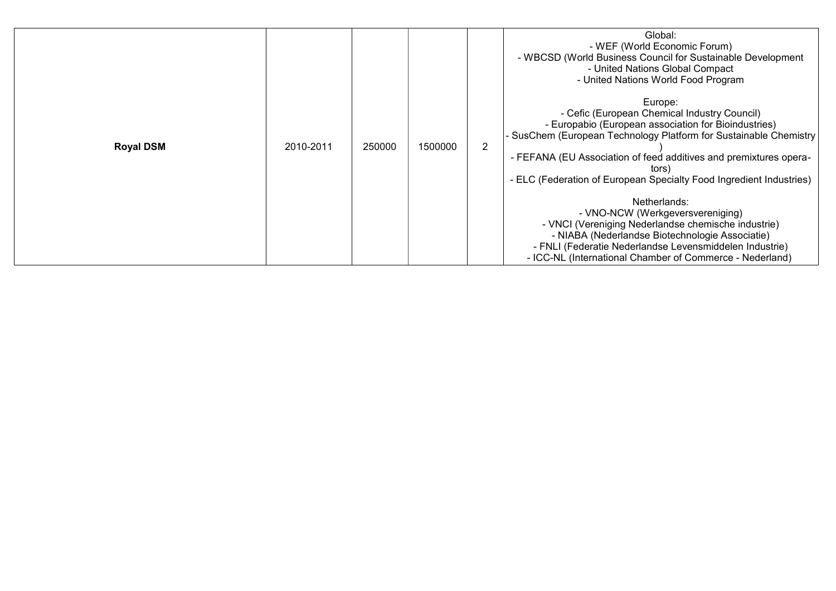| <b>Royal DSM</b> | 2010-2011 | 250000 | 1500000 | Global:<br>- WEF (World Economic Forum)<br>- WBCSD (World Business Council for Sustainable Development<br>- United Nations Global Compact<br>- United Nations World Food Program<br>Europe:<br>- Cefic (European Chemical Industry Council)<br>- Europabio (European association for Bioindustries)<br>- SusChem (European Technology Platform for Sustainable Chemistry<br>$\overline{2}$<br>- FEFANA (EU Association of feed additives and premixtures opera-<br>tors)<br>- ELC (Federation of European Specialty Food Ingredient Industries)<br>Netherlands:<br>- VNO-NCW (Werkgeversvereniging)<br>- VNCI (Vereniging Nederlandse chemische industrie)<br>- NIABA (Nederlandse Biotechnologie Associatie)<br>- FNLI (Federatie Nederlandse Levensmiddelen Industrie) |  |
|------------------|-----------|--------|---------|--------------------------------------------------------------------------------------------------------------------------------------------------------------------------------------------------------------------------------------------------------------------------------------------------------------------------------------------------------------------------------------------------------------------------------------------------------------------------------------------------------------------------------------------------------------------------------------------------------------------------------------------------------------------------------------------------------------------------------------------------------------------------|--|
|                  |           |        |         | - ICC-NL (International Chamber of Commerce - Nederland)                                                                                                                                                                                                                                                                                                                                                                                                                                                                                                                                                                                                                                                                                                                 |  |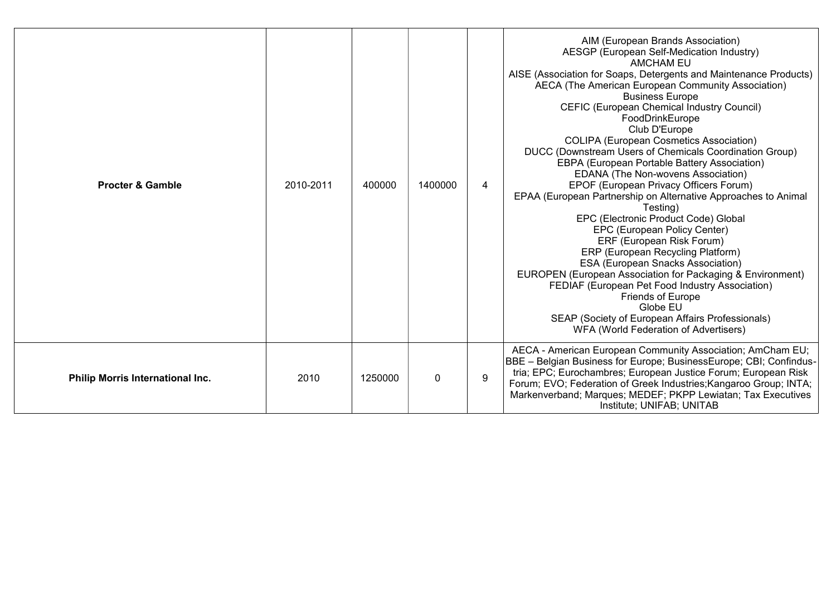| <b>Procter &amp; Gamble</b>      | 2010-2011 | 400000  | 1400000  | 4 | AIM (European Brands Association)<br>AESGP (European Self-Medication Industry)<br><b>AMCHAM EU</b><br>AISE (Association for Soaps, Detergents and Maintenance Products)<br>AECA (The American European Community Association)<br><b>Business Europe</b><br>CEFIC (European Chemical Industry Council)<br>FoodDrinkEurope<br>Club D'Europe<br><b>COLIPA (European Cosmetics Association)</b><br>DUCC (Downstream Users of Chemicals Coordination Group)<br>EBPA (European Portable Battery Association)<br>EDANA (The Non-wovens Association)<br>EPOF (European Privacy Officers Forum)<br>EPAA (European Partnership on Alternative Approaches to Animal<br>Testing)<br>EPC (Electronic Product Code) Global<br>EPC (European Policy Center)<br>ERF (European Risk Forum)<br>ERP (European Recycling Platform)<br><b>ESA (European Snacks Association)</b><br>EUROPEN (European Association for Packaging & Environment)<br>FEDIAF (European Pet Food Industry Association)<br>Friends of Europe<br>Globe EU<br>SEAP (Society of European Affairs Professionals)<br>WFA (World Federation of Advertisers) |
|----------------------------------|-----------|---------|----------|---|-----------------------------------------------------------------------------------------------------------------------------------------------------------------------------------------------------------------------------------------------------------------------------------------------------------------------------------------------------------------------------------------------------------------------------------------------------------------------------------------------------------------------------------------------------------------------------------------------------------------------------------------------------------------------------------------------------------------------------------------------------------------------------------------------------------------------------------------------------------------------------------------------------------------------------------------------------------------------------------------------------------------------------------------------------------------------------------------------------------|
| Philip Morris International Inc. | 2010      | 1250000 | $\Omega$ | 9 | AECA - American European Community Association; AmCham EU;<br>BBE - Belgian Business for Europe; BusinessEurope; CBI; Confindus-<br>tria; EPC; Eurochambres; European Justice Forum; European Risk<br>Forum; EVO; Federation of Greek Industries; Kangaroo Group; INTA;<br>Markenverband; Marques; MEDEF; PKPP Lewiatan; Tax Executives<br>Institute; UNIFAB; UNITAB                                                                                                                                                                                                                                                                                                                                                                                                                                                                                                                                                                                                                                                                                                                                      |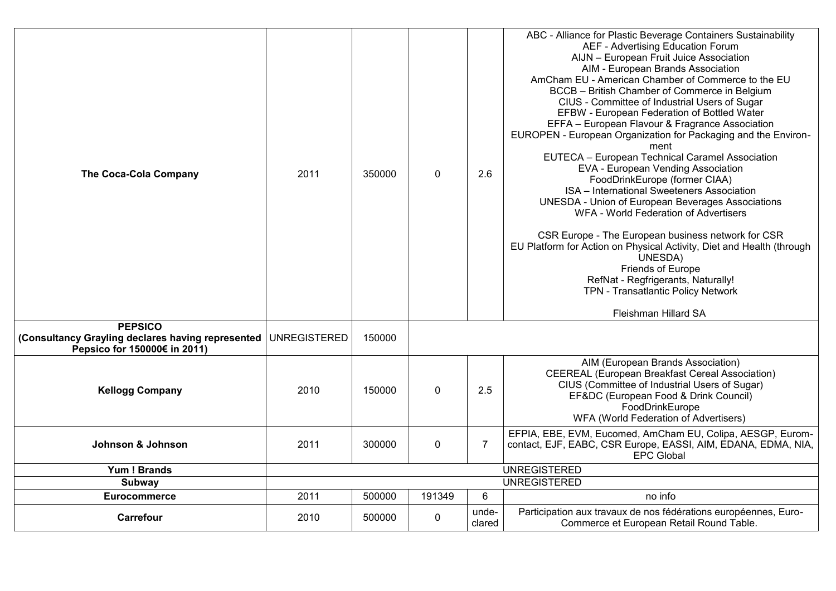| <b>The Coca-Cola Company</b>                                                                        | 2011                | 350000 | $\mathbf 0$ | 2.6             | ABC - Alliance for Plastic Beverage Containers Sustainability<br>AEF - Advertising Education Forum<br>AIJN - European Fruit Juice Association<br>AIM - European Brands Association<br>AmCham EU - American Chamber of Commerce to the EU<br>BCCB - British Chamber of Commerce in Belgium<br>CIUS - Committee of Industrial Users of Sugar<br>EFBW - European Federation of Bottled Water<br>EFFA - European Flavour & Fragrance Association<br>EUROPEN - European Organization for Packaging and the Environ-<br>ment<br>EUTECA - European Technical Caramel Association<br>EVA - European Vending Association<br>FoodDrinkEurope (former CIAA)<br>ISA - International Sweeteners Association<br><b>UNESDA - Union of European Beverages Associations</b><br>WFA - World Federation of Advertisers<br>CSR Europe - The European business network for CSR<br>EU Platform for Action on Physical Activity, Diet and Health (through<br>UNESDA)<br>Friends of Europe<br>RefNat - Regfrigerants, Naturally!<br>TPN - Transatlantic Policy Network<br>Fleishman Hillard SA |
|-----------------------------------------------------------------------------------------------------|---------------------|--------|-------------|-----------------|------------------------------------------------------------------------------------------------------------------------------------------------------------------------------------------------------------------------------------------------------------------------------------------------------------------------------------------------------------------------------------------------------------------------------------------------------------------------------------------------------------------------------------------------------------------------------------------------------------------------------------------------------------------------------------------------------------------------------------------------------------------------------------------------------------------------------------------------------------------------------------------------------------------------------------------------------------------------------------------------------------------------------------------------------------------------|
| <b>PEPSICO</b><br>(Consultancy Grayling declares having represented<br>Pepsico for 150000€ in 2011) | <b>UNREGISTERED</b> | 150000 |             |                 |                                                                                                                                                                                                                                                                                                                                                                                                                                                                                                                                                                                                                                                                                                                                                                                                                                                                                                                                                                                                                                                                        |
| <b>Kellogg Company</b>                                                                              | 2010                | 150000 | $\mathbf 0$ | 2.5             | AIM (European Brands Association)<br>CEEREAL (European Breakfast Cereal Association)<br>CIUS (Committee of Industrial Users of Sugar)<br>EF&DC (European Food & Drink Council)<br>FoodDrinkEurope<br>WFA (World Federation of Advertisers)                                                                                                                                                                                                                                                                                                                                                                                                                                                                                                                                                                                                                                                                                                                                                                                                                             |
| Johnson & Johnson                                                                                   | 2011                | 300000 | $\mathbf 0$ | $\overline{7}$  | EFPIA, EBE, EVM, Eucomed, AmCham EU, Colipa, AESGP, Eurom-<br>contact, EJF, EABC, CSR Europe, EASSI, AIM, EDANA, EDMA, NIA,<br><b>EPC Global</b>                                                                                                                                                                                                                                                                                                                                                                                                                                                                                                                                                                                                                                                                                                                                                                                                                                                                                                                       |
| Yum! Brands                                                                                         |                     |        |             |                 | <b>UNREGISTERED</b>                                                                                                                                                                                                                                                                                                                                                                                                                                                                                                                                                                                                                                                                                                                                                                                                                                                                                                                                                                                                                                                    |
| Subway                                                                                              |                     |        |             |                 | <b>UNREGISTERED</b>                                                                                                                                                                                                                                                                                                                                                                                                                                                                                                                                                                                                                                                                                                                                                                                                                                                                                                                                                                                                                                                    |
| <b>Eurocommerce</b>                                                                                 | 2011                | 500000 | 191349      | 6               | no info                                                                                                                                                                                                                                                                                                                                                                                                                                                                                                                                                                                                                                                                                                                                                                                                                                                                                                                                                                                                                                                                |
| Carrefour                                                                                           | 2010                | 500000 | $\mathbf 0$ | unde-<br>clared | Participation aux travaux de nos fédérations européennes, Euro-<br>Commerce et European Retail Round Table.                                                                                                                                                                                                                                                                                                                                                                                                                                                                                                                                                                                                                                                                                                                                                                                                                                                                                                                                                            |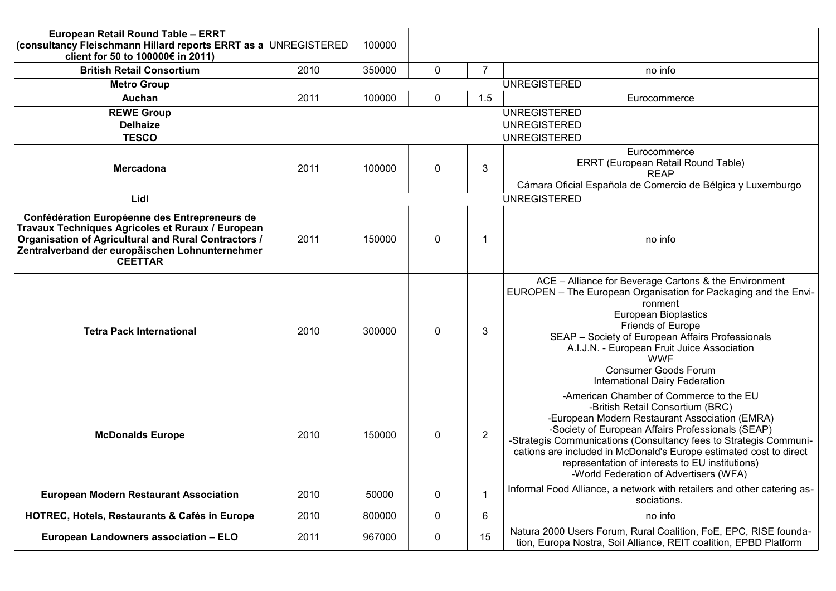| European Retail Round Table - ERRT<br>(consultancy Fleischmann Hillard reports ERRT as a UNREGISTERED<br>client for 50 to 100000€ in 2011)                                                                                      |      | 100000              |           |                |                                                                                                                                                                                                                                                                                                                                                                                                                            |  |  |  |  |  |
|---------------------------------------------------------------------------------------------------------------------------------------------------------------------------------------------------------------------------------|------|---------------------|-----------|----------------|----------------------------------------------------------------------------------------------------------------------------------------------------------------------------------------------------------------------------------------------------------------------------------------------------------------------------------------------------------------------------------------------------------------------------|--|--|--|--|--|
| <b>British Retail Consortium</b>                                                                                                                                                                                                | 2010 | 350000              | 0         | $\overline{7}$ | no info                                                                                                                                                                                                                                                                                                                                                                                                                    |  |  |  |  |  |
| <b>Metro Group</b>                                                                                                                                                                                                              |      | <b>UNREGISTERED</b> |           |                |                                                                                                                                                                                                                                                                                                                                                                                                                            |  |  |  |  |  |
| Auchan                                                                                                                                                                                                                          | 2011 | 100000              | 0         | 1.5            | Eurocommerce                                                                                                                                                                                                                                                                                                                                                                                                               |  |  |  |  |  |
| <b>REWE Group</b>                                                                                                                                                                                                               |      |                     |           |                | <b>UNREGISTERED</b>                                                                                                                                                                                                                                                                                                                                                                                                        |  |  |  |  |  |
| <b>Delhaize</b>                                                                                                                                                                                                                 |      |                     |           |                | <b>UNREGISTERED</b>                                                                                                                                                                                                                                                                                                                                                                                                        |  |  |  |  |  |
| <b>TESCO</b>                                                                                                                                                                                                                    |      |                     |           |                | <b>UNREGISTERED</b>                                                                                                                                                                                                                                                                                                                                                                                                        |  |  |  |  |  |
| <b>Mercadona</b>                                                                                                                                                                                                                | 2011 | 100000              | 0         | 3              | Eurocommerce<br>ERRT (European Retail Round Table)<br><b>REAP</b><br>Cámara Oficial Española de Comercio de Bélgica y Luxemburgo                                                                                                                                                                                                                                                                                           |  |  |  |  |  |
| Lidl                                                                                                                                                                                                                            |      |                     |           |                | <b>UNREGISTERED</b>                                                                                                                                                                                                                                                                                                                                                                                                        |  |  |  |  |  |
| Confédération Européenne des Entrepreneurs de<br>Travaux Techniques Agricoles et Ruraux / European<br>Organisation of Agricultural and Rural Contractors /<br>Zentralverband der europäischen Lohnunternehmer<br><b>CEETTAR</b> | 2011 | 150000              | 0         | -1             | no info                                                                                                                                                                                                                                                                                                                                                                                                                    |  |  |  |  |  |
| <b>Tetra Pack International</b>                                                                                                                                                                                                 | 2010 | 300000              | 0         | 3              | ACE - Alliance for Beverage Cartons & the Environment<br>EUROPEN - The European Organisation for Packaging and the Envi-<br>ronment<br><b>European Bioplastics</b><br>Friends of Europe<br>SEAP - Society of European Affairs Professionals<br>A.I.J.N. - European Fruit Juice Association<br><b>WWF</b><br><b>Consumer Goods Forum</b><br>International Dairy Federation                                                  |  |  |  |  |  |
| <b>McDonalds Europe</b>                                                                                                                                                                                                         | 2010 | 150000              | 0         | $\overline{2}$ | -American Chamber of Commerce to the EU<br>-British Retail Consortium (BRC)<br>-European Modern Restaurant Association (EMRA)<br>-Society of European Affairs Professionals (SEAP)<br>-Strategis Communications (Consultancy fees to Strategis Communi-<br>cations are included in McDonald's Europe estimated cost to direct<br>representation of interests to EU institutions)<br>-World Federation of Advertisers (WFA) |  |  |  |  |  |
| <b>European Modern Restaurant Association</b>                                                                                                                                                                                   | 2010 | 50000               | 0         | $\mathbf 1$    | Informal Food Alliance, a network with retailers and other catering as-<br>sociations.                                                                                                                                                                                                                                                                                                                                     |  |  |  |  |  |
| <b>HOTREC, Hotels, Restaurants &amp; Cafés in Europe</b>                                                                                                                                                                        | 2010 | 800000              | 0         | 6              | no info                                                                                                                                                                                                                                                                                                                                                                                                                    |  |  |  |  |  |
| European Landowners association - ELO                                                                                                                                                                                           | 2011 | 967000              | $\pmb{0}$ | 15             | Natura 2000 Users Forum, Rural Coalition, FoE, EPC, RISE founda-<br>tion, Europa Nostra, Soil Alliance, REIT coalition, EPBD Platform                                                                                                                                                                                                                                                                                      |  |  |  |  |  |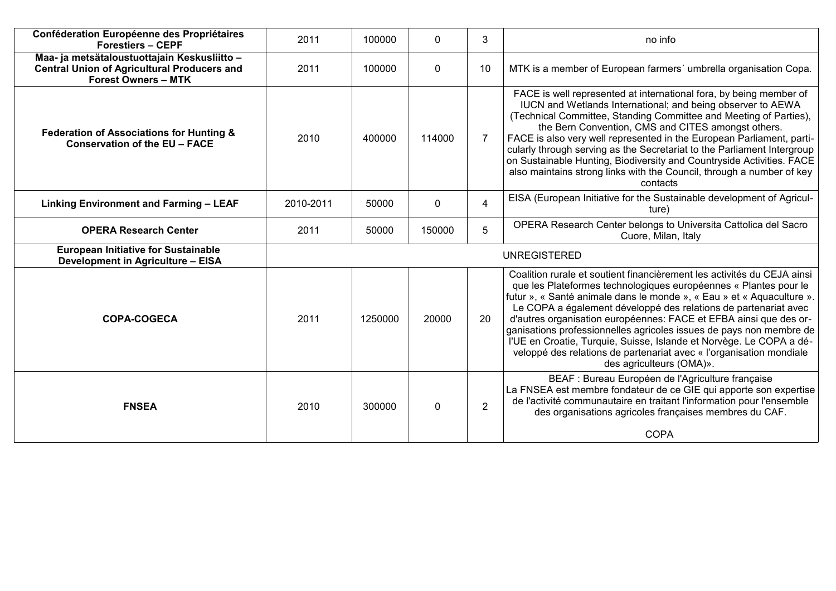| Conféderation Européenne des Propriétaires<br><b>Forestiers - CEPF</b>                                                           | 2011                | 100000  | $\mathbf{0}$ | 3              | no info                                                                                                                                                                                                                                                                                                                                                                                                                                                                                                                                                                                                       |  |  |  |
|----------------------------------------------------------------------------------------------------------------------------------|---------------------|---------|--------------|----------------|---------------------------------------------------------------------------------------------------------------------------------------------------------------------------------------------------------------------------------------------------------------------------------------------------------------------------------------------------------------------------------------------------------------------------------------------------------------------------------------------------------------------------------------------------------------------------------------------------------------|--|--|--|
| Maa- ja metsätaloustuottajain Keskusliitto -<br><b>Central Union of Agricultural Producers and</b><br><b>Forest Owners - MTK</b> | 2011                | 100000  | $\mathbf{0}$ | 10             | MTK is a member of European farmers' umbrella organisation Copa.                                                                                                                                                                                                                                                                                                                                                                                                                                                                                                                                              |  |  |  |
| <b>Federation of Associations for Hunting &amp;</b><br>Conservation of the EU - FACE                                             | 2010                | 400000  | 114000       | $\overline{7}$ | FACE is well represented at international fora, by being member of<br>IUCN and Wetlands International; and being observer to AEWA<br>(Technical Committee, Standing Committee and Meeting of Parties),<br>the Bern Convention, CMS and CITES amongst others.<br>FACE is also very well represented in the European Parliament, parti-<br>cularly through serving as the Secretariat to the Parliament Intergroup<br>on Sustainable Hunting, Biodiversity and Countryside Activities. FACE<br>also maintains strong links with the Council, through a number of key<br>contacts                                |  |  |  |
| <b>Linking Environment and Farming - LEAF</b>                                                                                    | 2010-2011           | 50000   | $\mathbf 0$  | $\overline{4}$ | EISA (European Initiative for the Sustainable development of Agricul-<br>ture)                                                                                                                                                                                                                                                                                                                                                                                                                                                                                                                                |  |  |  |
| <b>OPERA Research Center</b>                                                                                                     | 2011                | 50000   | 150000       | 5              | OPERA Research Center belongs to Universita Cattolica del Sacro<br>Cuore, Milan, Italy                                                                                                                                                                                                                                                                                                                                                                                                                                                                                                                        |  |  |  |
| <b>European Initiative for Sustainable</b><br>Development in Agriculture - EISA                                                  | <b>UNREGISTERED</b> |         |              |                |                                                                                                                                                                                                                                                                                                                                                                                                                                                                                                                                                                                                               |  |  |  |
| <b>COPA-COGECA</b>                                                                                                               | 2011                | 1250000 | 20000        | 20             | Coalition rurale et soutient financièrement les activités du CEJA ainsi<br>que les Plateformes technologiques européennes « Plantes pour le<br>futur », « Santé animale dans le monde », « Eau » et « Aquaculture ».<br>Le COPA a également développé des relations de partenariat avec<br>d'autres organisation européennes: FACE et EFBA ainsi que des or-<br>ganisations professionnelles agricoles issues de pays non membre de<br>l'UE en Croatie, Turquie, Suisse, Islande et Norvège. Le COPA a dé-<br>veloppé des relations de partenariat avec « l'organisation mondiale<br>des agriculteurs (OMA)». |  |  |  |
| <b>FNSEA</b>                                                                                                                     | 2010                | 300000  | $\mathbf 0$  | $\overline{2}$ | BEAF : Bureau Européen de l'Agriculture française<br>La FNSEA est membre fondateur de ce GIE qui apporte son expertise<br>de l'activité communautaire en traitant l'information pour l'ensemble<br>des organisations agricoles françaises membres du CAF.<br><b>COPA</b>                                                                                                                                                                                                                                                                                                                                      |  |  |  |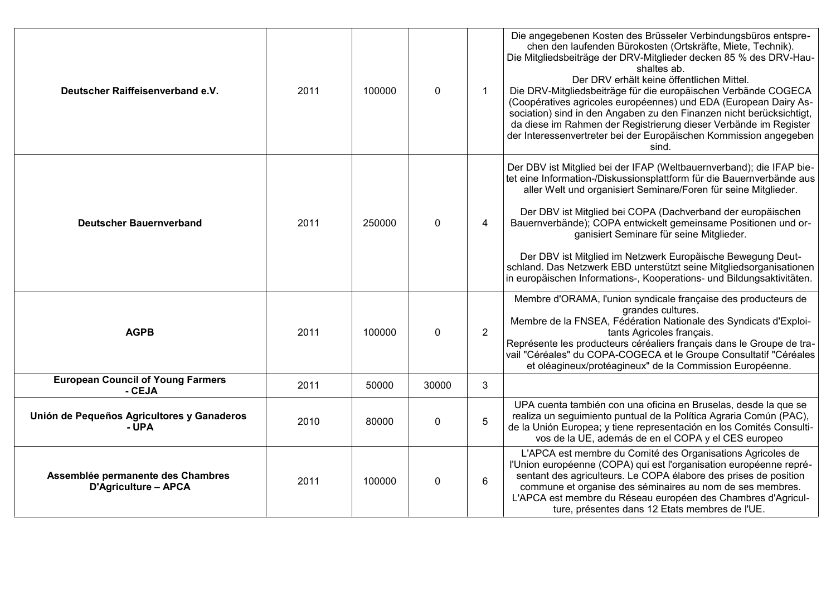| Deutscher Raiffeisenverband e.V.                                 | 2011 | 100000 | $\mathbf 0$ | $\mathbf 1$    | Die angegebenen Kosten des Brüsseler Verbindungsbüros entspre-<br>chen den laufenden Bürokosten (Ortskräfte, Miete, Technik).<br>Die Mitgliedsbeiträge der DRV-Mitglieder decken 85 % des DRV-Hau-<br>shaltes ab.<br>Der DRV erhält keine öffentlichen Mittel.<br>Die DRV-Mitgliedsbeiträge für die europäischen Verbände COGECA<br>(Coopératives agricoles européennes) und EDA (European Dairy As-<br>sociation) sind in den Angaben zu den Finanzen nicht berücksichtigt,<br>da diese im Rahmen der Registrierung dieser Verbände im Register<br>der Interessenvertreter bei der Europäischen Kommission angegeben<br>sind. |
|------------------------------------------------------------------|------|--------|-------------|----------------|--------------------------------------------------------------------------------------------------------------------------------------------------------------------------------------------------------------------------------------------------------------------------------------------------------------------------------------------------------------------------------------------------------------------------------------------------------------------------------------------------------------------------------------------------------------------------------------------------------------------------------|
| <b>Deutscher Bauernverband</b>                                   | 2011 | 250000 | $\mathbf 0$ | 4              | Der DBV ist Mitglied bei der IFAP (Weltbauernverband); die IFAP bie-<br>tet eine Information-/Diskussionsplattform für die Bauernverbände aus<br>aller Welt und organisiert Seminare/Foren für seine Mitglieder.<br>Der DBV ist Mitglied bei COPA (Dachverband der europäischen<br>Bauernverbände); COPA entwickelt gemeinsame Positionen und or-<br>ganisiert Seminare für seine Mitglieder.<br>Der DBV ist Mitglied im Netzwerk Europäische Bewegung Deut-<br>schland. Das Netzwerk EBD unterstützt seine Mitgliedsorganisationen<br>in europäischen Informations-, Kooperations- und Bildungsaktivitäten.                   |
| <b>AGPB</b>                                                      | 2011 | 100000 | $\mathbf 0$ | $\overline{2}$ | Membre d'ORAMA, l'union syndicale française des producteurs de<br>grandes cultures.<br>Membre de la FNSEA, Fédération Nationale des Syndicats d'Exploi-<br>tants Agricoles français.<br>Représente les producteurs céréaliers français dans le Groupe de tra-<br>vail "Céréales" du COPA-COGECA et le Groupe Consultatif "Céréales<br>et oléagineux/protéagineux" de la Commission Européenne.                                                                                                                                                                                                                                 |
| <b>European Council of Young Farmers</b><br>- CEJA               | 2011 | 50000  | 30000       | 3              |                                                                                                                                                                                                                                                                                                                                                                                                                                                                                                                                                                                                                                |
| Unión de Pequeños Agricultores y Ganaderos<br>- UPA              | 2010 | 80000  | $\mathbf 0$ | 5              | UPA cuenta también con una oficina en Bruselas, desde la que se<br>realiza un seguimiento puntual de la Política Agraria Común (PAC),<br>de la Unión Europea; y tiene representación en los Comités Consulti-<br>vos de la UE, además de en el COPA y el CES europeo                                                                                                                                                                                                                                                                                                                                                           |
| Assemblée permanente des Chambres<br><b>D'Agriculture - APCA</b> | 2011 | 100000 | $\pmb{0}$   | 6              | L'APCA est membre du Comité des Organisations Agricoles de<br>l'Union européenne (COPA) qui est l'organisation européenne repré-<br>sentant des agriculteurs. Le COPA élabore des prises de position<br>commune et organise des séminaires au nom de ses membres.<br>L'APCA est membre du Réseau européen des Chambres d'Agricul-<br>ture, présentes dans 12 Etats membres de l'UE.                                                                                                                                                                                                                                            |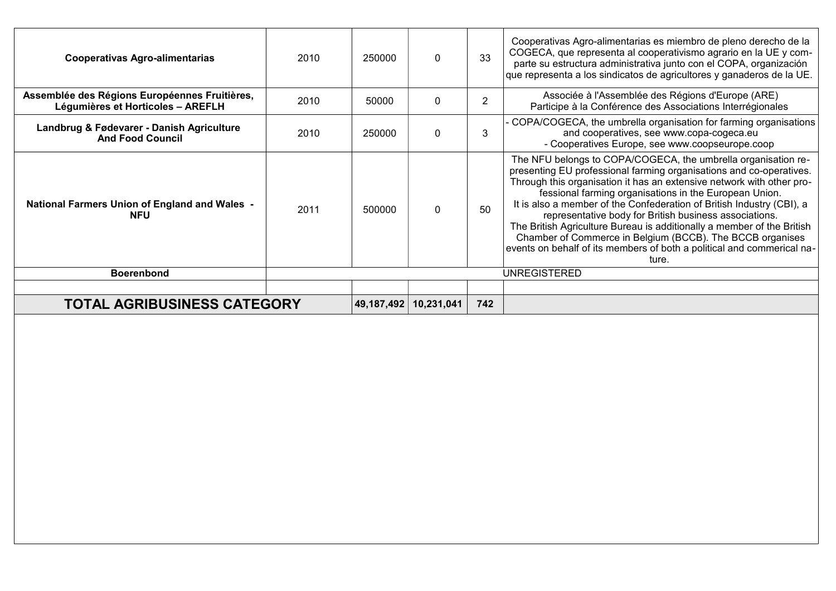| <b>Cooperativas Agro-alimentarias</b>                                              | 2010 | 250000       | $\Omega$   | 33  | Cooperativas Agro-alimentarias es miembro de pleno derecho de la<br>COGECA, que representa al cooperativismo agrario en la UE y com-<br>parte su estructura administrativa junto con el COPA, organización<br>que representa a los sindicatos de agricultores y ganaderos de la UE.                                                                                                                                                                                                                                                                                                                                                  |
|------------------------------------------------------------------------------------|------|--------------|------------|-----|--------------------------------------------------------------------------------------------------------------------------------------------------------------------------------------------------------------------------------------------------------------------------------------------------------------------------------------------------------------------------------------------------------------------------------------------------------------------------------------------------------------------------------------------------------------------------------------------------------------------------------------|
| Assemblée des Régions Européennes Fruitières,<br>Légumières et Horticoles - AREFLH | 2010 | 50000        | $\Omega$   |     | Associée à l'Assemblée des Régions d'Europe (ARE)<br>Participe à la Conférence des Associations Interrégionales                                                                                                                                                                                                                                                                                                                                                                                                                                                                                                                      |
| Landbrug & Fødevarer - Danish Agriculture<br><b>And Food Council</b>               | 2010 | 250000       | 0          | 3   | - COPA/COGECA, the umbrella organisation for farming organisations<br>and cooperatives, see www.copa-cogeca.eu<br>- Cooperatives Europe, see www.coopseurope.coop                                                                                                                                                                                                                                                                                                                                                                                                                                                                    |
| <b>National Farmers Union of England and Wales -</b><br><b>NFU</b>                 | 2011 | 500000       | 0          | 50  | The NFU belongs to COPA/COGECA, the umbrella organisation re-<br>presenting EU professional farming organisations and co-operatives.<br>Through this organisation it has an extensive network with other pro-<br>fessional farming organisations in the European Union.<br>It is also a member of the Confederation of British Industry (CBI), a<br>representative body for British business associations.<br>The British Agriculture Bureau is additionally a member of the British<br>Chamber of Commerce in Belgium (BCCB). The BCCB organises<br>events on behalf of its members of both a political and commerical na-<br>ture. |
| <b>Boerenbond</b>                                                                  |      |              |            |     | <b>UNREGISTERED</b>                                                                                                                                                                                                                                                                                                                                                                                                                                                                                                                                                                                                                  |
|                                                                                    |      |              |            |     |                                                                                                                                                                                                                                                                                                                                                                                                                                                                                                                                                                                                                                      |
| <b>TOTAL AGRIBUSINESS CATEGORY</b>                                                 |      | 49, 187, 492 | 10,231,041 | 742 |                                                                                                                                                                                                                                                                                                                                                                                                                                                                                                                                                                                                                                      |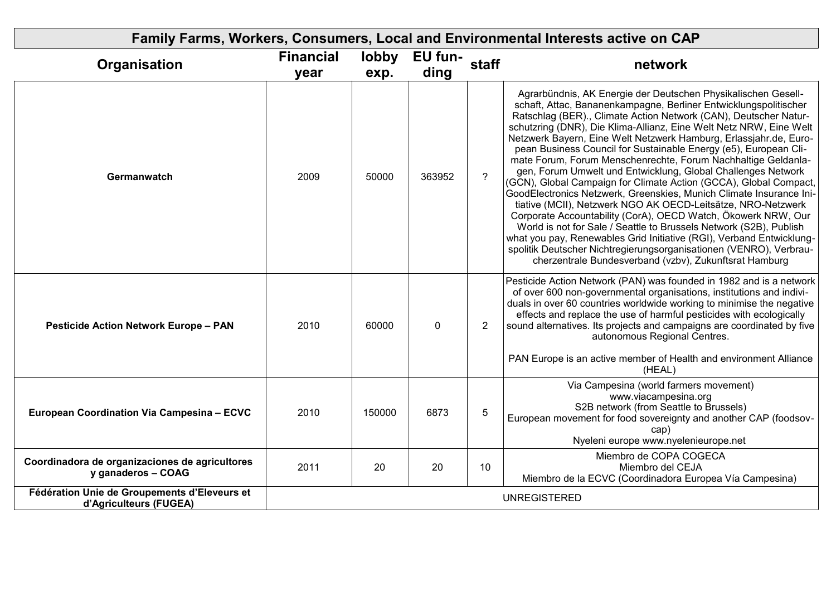| Family Farms, Workers, Consumers, Local and Environmental Interests active on CAP |                          |               |                 |                |                                                                                                                                                                                                                                                                                                                                                                                                                                                                                                                                                                                                                                                                                                                                                                                                                                                                                                                                                                                                                                                                                                                  |  |  |  |  |
|-----------------------------------------------------------------------------------|--------------------------|---------------|-----------------|----------------|------------------------------------------------------------------------------------------------------------------------------------------------------------------------------------------------------------------------------------------------------------------------------------------------------------------------------------------------------------------------------------------------------------------------------------------------------------------------------------------------------------------------------------------------------------------------------------------------------------------------------------------------------------------------------------------------------------------------------------------------------------------------------------------------------------------------------------------------------------------------------------------------------------------------------------------------------------------------------------------------------------------------------------------------------------------------------------------------------------------|--|--|--|--|
| Organisation                                                                      | <b>Financial</b><br>year | lobby<br>exp. | EU fun-<br>ding | staff          | network                                                                                                                                                                                                                                                                                                                                                                                                                                                                                                                                                                                                                                                                                                                                                                                                                                                                                                                                                                                                                                                                                                          |  |  |  |  |
| Germanwatch                                                                       | 2009                     | 50000         | 363952          | $\gamma$       | Agrarbündnis, AK Energie der Deutschen Physikalischen Gesell-<br>schaft, Attac, Bananenkampagne, Berliner Entwicklungspolitischer<br>Ratschlag (BER)., Climate Action Network (CAN), Deutscher Natur-<br>schutzring (DNR), Die Klima-Allianz, Eine Welt Netz NRW, Eine Welt<br>Netzwerk Bayern, Eine Welt Netzwerk Hamburg, Erlassjahr.de, Euro-<br>pean Business Council for Sustainable Energy (e5), European Cli-<br>mate Forum, Forum Menschenrechte, Forum Nachhaltige Geldanla-<br>gen, Forum Umwelt und Entwicklung, Global Challenges Network<br>(GCN), Global Campaign for Climate Action (GCCA), Global Compact,<br>GoodElectronics Netzwerk, Greenskies, Munich Climate Insurance Ini-<br>tiative (MCII), Netzwerk NGO AK OECD-Leitsätze, NRO-Netzwerk<br>Corporate Accountability (CorA), OECD Watch, Ökowerk NRW, Our<br>World is not for Sale / Seattle to Brussels Network (S2B), Publish<br>what you pay, Renewables Grid Initiative (RGI), Verband Entwicklung-<br>spolitik Deutscher Nichtregierungsorganisationen (VENRO), Verbrau-<br>cherzentrale Bundesverband (vzbv), Zukunftsrat Hamburg |  |  |  |  |
| <b>Pesticide Action Network Europe - PAN</b>                                      | 2010                     | 60000         | $\mathbf 0$     | $\overline{2}$ | Pesticide Action Network (PAN) was founded in 1982 and is a network<br>of over 600 non-governmental organisations, institutions and indivi-<br>duals in over 60 countries worldwide working to minimise the negative<br>effects and replace the use of harmful pesticides with ecologically<br>sound alternatives. Its projects and campaigns are coordinated by five<br>autonomous Regional Centres.<br>PAN Europe is an active member of Health and environment Alliance<br>(HEAL)                                                                                                                                                                                                                                                                                                                                                                                                                                                                                                                                                                                                                             |  |  |  |  |
| European Coordination Via Campesina - ECVC                                        | 2010                     | 150000        | 6873            | 5              | Via Campesina (world farmers movement)<br>www.viacampesina.org<br>S2B network (from Seattle to Brussels)<br>European movement for food sovereignty and another CAP (foodsov-<br>cap)<br>Nyeleni europe www.nyelenieurope.net                                                                                                                                                                                                                                                                                                                                                                                                                                                                                                                                                                                                                                                                                                                                                                                                                                                                                     |  |  |  |  |
| Coordinadora de organizaciones de agricultores<br>y ganaderos - COAG              | 2011                     | 20            | 20              | 10             | Miembro de COPA COGECA<br>Miembro del CEJA<br>Miembro de la ECVC (Coordinadora Europea Vía Campesina)                                                                                                                                                                                                                                                                                                                                                                                                                                                                                                                                                                                                                                                                                                                                                                                                                                                                                                                                                                                                            |  |  |  |  |
| Fédération Unie de Groupements d'Eleveurs et<br>d'Agriculteurs (FUGEA)            |                          |               |                 |                | <b>UNREGISTERED</b>                                                                                                                                                                                                                                                                                                                                                                                                                                                                                                                                                                                                                                                                                                                                                                                                                                                                                                                                                                                                                                                                                              |  |  |  |  |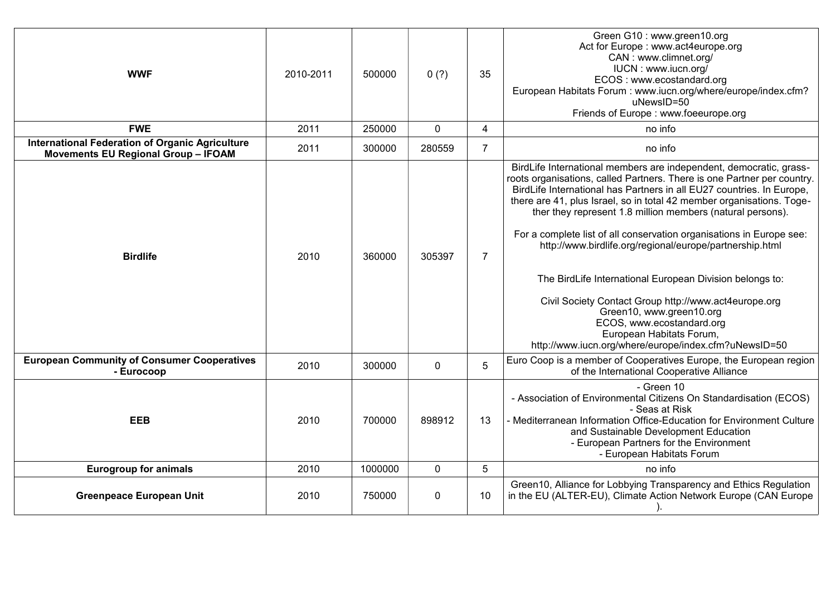| <b>WWF</b>                                                                                           | 2010-2011 | 500000  | 0(?)        | 35             | Green G10: www.green10.org<br>Act for Europe : www.act4europe.org<br>CAN: www.climnet.org/<br>IUCN : www.iucn.org/<br>ECOS: www.ecostandard.org<br>European Habitats Forum: www.iucn.org/where/europe/index.cfm?<br>uNewsID=50<br>Friends of Europe: www.foeeurope.org                                                                                                                                                                                                                                                                                                                                                                                                                                                                                               |
|------------------------------------------------------------------------------------------------------|-----------|---------|-------------|----------------|----------------------------------------------------------------------------------------------------------------------------------------------------------------------------------------------------------------------------------------------------------------------------------------------------------------------------------------------------------------------------------------------------------------------------------------------------------------------------------------------------------------------------------------------------------------------------------------------------------------------------------------------------------------------------------------------------------------------------------------------------------------------|
| <b>FWE</b>                                                                                           | 2011      | 250000  | $\mathbf 0$ | $\overline{4}$ | no info                                                                                                                                                                                                                                                                                                                                                                                                                                                                                                                                                                                                                                                                                                                                                              |
| <b>International Federation of Organic Agriculture</b><br><b>Movements EU Regional Group - IFOAM</b> | 2011      | 300000  | 280559      | $\overline{7}$ | no info                                                                                                                                                                                                                                                                                                                                                                                                                                                                                                                                                                                                                                                                                                                                                              |
| <b>Birdlife</b>                                                                                      | 2010      | 360000  | 305397      | $\overline{7}$ | BirdLife International members are independent, democratic, grass-<br>roots organisations, called Partners. There is one Partner per country.<br>BirdLife International has Partners in all EU27 countries. In Europe,<br>there are 41, plus Israel, so in total 42 member organisations. Toge-<br>ther they represent 1.8 million members (natural persons).<br>For a complete list of all conservation organisations in Europe see:<br>http://www.birdlife.org/regional/europe/partnership.html<br>The BirdLife International European Division belongs to:<br>Civil Society Contact Group http://www.act4europe.org<br>Green10, www.green10.org<br>ECOS, www.ecostandard.org<br>European Habitats Forum,<br>http://www.iucn.org/where/europe/index.cfm?uNewsID=50 |
| <b>European Community of Consumer Cooperatives</b><br>- Eurocoop                                     | 2010      | 300000  | $\mathbf 0$ | 5              | Euro Coop is a member of Cooperatives Europe, the European region<br>of the International Cooperative Alliance                                                                                                                                                                                                                                                                                                                                                                                                                                                                                                                                                                                                                                                       |
| <b>EEB</b>                                                                                           | 2010      | 700000  | 898912      | 13             | - Green 10<br>- Association of Environmental Citizens On Standardisation (ECOS)<br>- Seas at Risk<br>- Mediterranean Information Office-Education for Environment Culture<br>and Sustainable Development Education<br>- European Partners for the Environment<br>- European Habitats Forum                                                                                                                                                                                                                                                                                                                                                                                                                                                                           |
| <b>Eurogroup for animals</b>                                                                         | 2010      | 1000000 | $\mathbf 0$ | 5              | no info                                                                                                                                                                                                                                                                                                                                                                                                                                                                                                                                                                                                                                                                                                                                                              |
| <b>Greenpeace European Unit</b>                                                                      | 2010      | 750000  | 0           | 10             | Green10, Alliance for Lobbying Transparency and Ethics Regulation<br>in the EU (ALTER-EU), Climate Action Network Europe (CAN Europe                                                                                                                                                                                                                                                                                                                                                                                                                                                                                                                                                                                                                                 |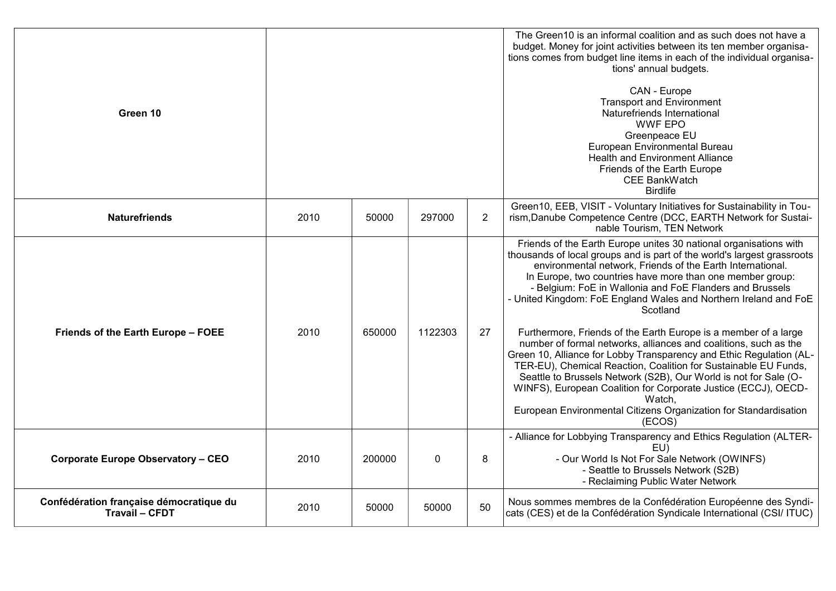| Green 10                                                         |      |        |             |                | The Green10 is an informal coalition and as such does not have a<br>budget. Money for joint activities between its ten member organisa-<br>tions comes from budget line items in each of the individual organisa-<br>tions' annual budgets.<br>CAN - Europe<br><b>Transport and Environment</b><br>Naturefriends International<br><b>WWF EPO</b><br>Greenpeace EU<br>European Environmental Bureau<br><b>Health and Environment Alliance</b><br>Friends of the Earth Europe<br>CEE BankWatch<br><b>Birdlife</b>                                                                                                                                                                                                                                                                                                                                                                                                                    |
|------------------------------------------------------------------|------|--------|-------------|----------------|------------------------------------------------------------------------------------------------------------------------------------------------------------------------------------------------------------------------------------------------------------------------------------------------------------------------------------------------------------------------------------------------------------------------------------------------------------------------------------------------------------------------------------------------------------------------------------------------------------------------------------------------------------------------------------------------------------------------------------------------------------------------------------------------------------------------------------------------------------------------------------------------------------------------------------|
| <b>Naturefriends</b>                                             | 2010 | 50000  | 297000      | $\overline{2}$ | Green10, EEB, VISIT - Voluntary Initiatives for Sustainability in Tou-<br>rism, Danube Competence Centre (DCC, EARTH Network for Sustai-<br>nable Tourism, TEN Network                                                                                                                                                                                                                                                                                                                                                                                                                                                                                                                                                                                                                                                                                                                                                             |
| Friends of the Earth Europe - FOEE                               | 2010 | 650000 | 1122303     | 27             | Friends of the Earth Europe unites 30 national organisations with<br>thousands of local groups and is part of the world's largest grassroots<br>environmental network, Friends of the Earth International.<br>In Europe, two countries have more than one member group:<br>- Belgium: FoE in Wallonia and FoE Flanders and Brussels<br>- United Kingdom: FoE England Wales and Northern Ireland and FoE<br>Scotland<br>Furthermore, Friends of the Earth Europe is a member of a large<br>number of formal networks, alliances and coalitions, such as the<br>Green 10, Alliance for Lobby Transparency and Ethic Regulation (AL-<br>TER-EU), Chemical Reaction, Coalition for Sustainable EU Funds,<br>Seattle to Brussels Network (S2B), Our World is not for Sale (O-<br>WINFS), European Coalition for Corporate Justice (ECCJ), OECD-<br>Watch,<br>European Environmental Citizens Organization for Standardisation<br>(ECOS) |
| <b>Corporate Europe Observatory - CEO</b>                        | 2010 | 200000 | $\mathbf 0$ | 8              | - Alliance for Lobbying Transparency and Ethics Regulation (ALTER-<br>EU)<br>- Our World Is Not For Sale Network (OWINFS)<br>- Seattle to Brussels Network (S2B)<br>- Reclaiming Public Water Network                                                                                                                                                                                                                                                                                                                                                                                                                                                                                                                                                                                                                                                                                                                              |
| Confédération française démocratique du<br><b>Travail - CFDT</b> | 2010 | 50000  | 50000       | 50             | Nous sommes membres de la Confédération Européenne des Syndi-<br>cats (CES) et de la Confédération Syndicale International (CSI/ ITUC)                                                                                                                                                                                                                                                                                                                                                                                                                                                                                                                                                                                                                                                                                                                                                                                             |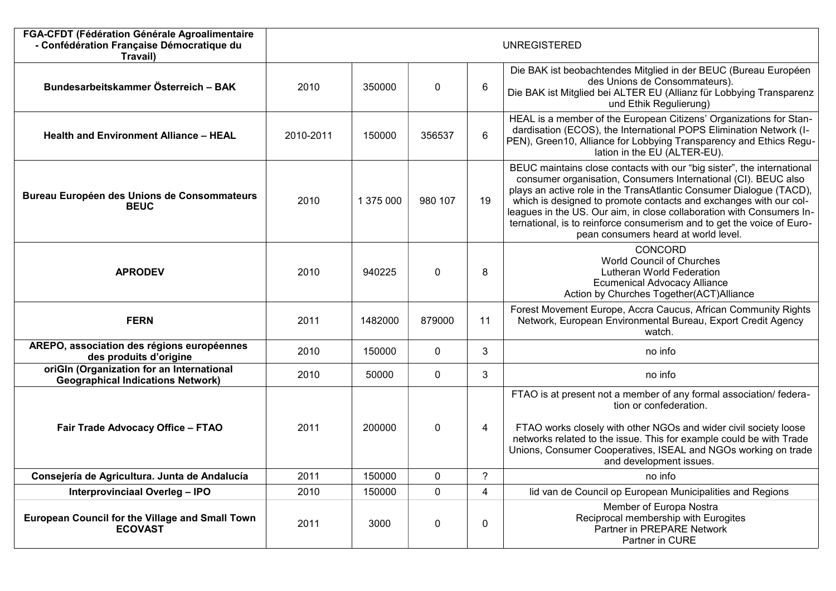| FGA-CFDT (Fédération Générale Agroalimentaire<br>- Confédération Française Démocratique du<br>Travail) |           |           |             |    | <b>UNREGISTERED</b>                                                                                                                                                                                                                                                                                                                                                                                                                                                             |
|--------------------------------------------------------------------------------------------------------|-----------|-----------|-------------|----|---------------------------------------------------------------------------------------------------------------------------------------------------------------------------------------------------------------------------------------------------------------------------------------------------------------------------------------------------------------------------------------------------------------------------------------------------------------------------------|
| Bundesarbeitskammer Österreich - BAK                                                                   | 2010      | 350000    | $\pmb{0}$   | 6  | Die BAK ist beobachtendes Mitglied in der BEUC (Bureau Européen<br>des Unions de Consommateurs).<br>Die BAK ist Mitglied bei ALTER EU (Allianz für Lobbying Transparenz<br>und Ethik Regulierung)                                                                                                                                                                                                                                                                               |
| <b>Health and Environment Alliance - HEAL</b>                                                          | 2010-2011 | 150000    | 356537      | 6  | HEAL is a member of the European Citizens' Organizations for Stan-<br>dardisation (ECOS), the International POPS Elimination Network (I-<br>PEN), Green10, Alliance for Lobbying Transparency and Ethics Regu-<br>lation in the EU (ALTER-EU).                                                                                                                                                                                                                                  |
| Bureau Européen des Unions de Consommateurs<br><b>BEUC</b>                                             | 2010      | 1 375 000 | 980 107     | 19 | BEUC maintains close contacts with our "big sister", the international<br>consumer organisation, Consumers International (CI). BEUC also<br>plays an active role in the TransAtlantic Consumer Dialogue (TACD),<br>which is designed to promote contacts and exchanges with our col-<br>leagues in the US. Our aim, in close collaboration with Consumers In-<br>ternational, is to reinforce consumerism and to get the voice of Euro-<br>pean consumers heard at world level. |
| <b>APRODEV</b>                                                                                         | 2010      | 940225    | $\mathbf 0$ | 8  | CONCORD<br><b>World Council of Churches</b><br>Lutheran World Federation<br><b>Ecumenical Advocacy Alliance</b><br>Action by Churches Together(ACT)Alliance                                                                                                                                                                                                                                                                                                                     |
| <b>FERN</b>                                                                                            | 2011      | 1482000   | 879000      | 11 | Forest Movement Europe, Accra Caucus, African Community Rights<br>Network, European Environmental Bureau, Export Credit Agency<br>watch.                                                                                                                                                                                                                                                                                                                                        |
| AREPO, association des régions européennes<br>des produits d'origine                                   | 2010      | 150000    | 0           | 3  | no info                                                                                                                                                                                                                                                                                                                                                                                                                                                                         |
| oriGIn (Organization for an International<br><b>Geographical Indications Network)</b>                  | 2010      | 50000     | $\mathbf 0$ | 3  | no info                                                                                                                                                                                                                                                                                                                                                                                                                                                                         |
| Fair Trade Advocacy Office - FTAO                                                                      | 2011      | 200000    | $\mathbf 0$ | 4  | FTAO is at present not a member of any formal association/ federa-<br>tion or confederation.<br>FTAO works closely with other NGOs and wider civil society loose<br>networks related to the issue. This for example could be with Trade<br>Unions, Consumer Cooperatives, ISEAL and NGOs working on trade<br>and development issues.                                                                                                                                            |
| Consejería de Agricultura. Junta de Andalucía                                                          | 2011      | 150000    | $\mathbf 0$ | ?  | no info                                                                                                                                                                                                                                                                                                                                                                                                                                                                         |
| <b>Interprovinciaal Overleg - IPO</b>                                                                  | 2010      | 150000    | $\mathbf 0$ | 4  | lid van de Council op European Municipalities and Regions                                                                                                                                                                                                                                                                                                                                                                                                                       |
| <b>European Council for the Village and Small Town</b><br><b>ECOVAST</b>                               | 2011      | 3000      | $\mathbf 0$ | 0  | Member of Europa Nostra<br>Reciprocal membership with Eurogites<br>Partner in PREPARE Network<br>Partner in CURE                                                                                                                                                                                                                                                                                                                                                                |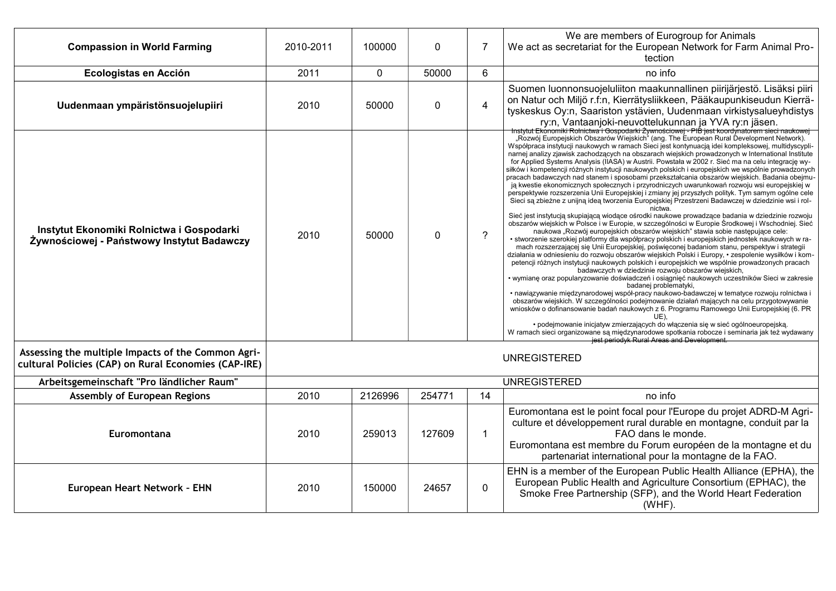| <b>Compassion in World Farming</b>                                                                         | 2010-2011 | 100000  | $\mathbf{0}$ | 7              | We are members of Eurogroup for Animals<br>We act as secretariat for the European Network for Farm Animal Pro-<br>tection                                                                                                                                                                                                                                                                                                                                                                                                                                                                                                                                                                                                                                                                                                                                                                                                                                                                                                                                                                                                                                                                                                                                                                                                                                                                                                                                                                                                                                                                                                                                                                                                                                                                                                                                                                                                                                                                                                                                                                                                                                                                                                                                                                                                                                       |
|------------------------------------------------------------------------------------------------------------|-----------|---------|--------------|----------------|-----------------------------------------------------------------------------------------------------------------------------------------------------------------------------------------------------------------------------------------------------------------------------------------------------------------------------------------------------------------------------------------------------------------------------------------------------------------------------------------------------------------------------------------------------------------------------------------------------------------------------------------------------------------------------------------------------------------------------------------------------------------------------------------------------------------------------------------------------------------------------------------------------------------------------------------------------------------------------------------------------------------------------------------------------------------------------------------------------------------------------------------------------------------------------------------------------------------------------------------------------------------------------------------------------------------------------------------------------------------------------------------------------------------------------------------------------------------------------------------------------------------------------------------------------------------------------------------------------------------------------------------------------------------------------------------------------------------------------------------------------------------------------------------------------------------------------------------------------------------------------------------------------------------------------------------------------------------------------------------------------------------------------------------------------------------------------------------------------------------------------------------------------------------------------------------------------------------------------------------------------------------------------------------------------------------------------------------------------------------|
| Ecologistas en Acción                                                                                      | 2011      | 0       | 50000        | 6              | no info                                                                                                                                                                                                                                                                                                                                                                                                                                                                                                                                                                                                                                                                                                                                                                                                                                                                                                                                                                                                                                                                                                                                                                                                                                                                                                                                                                                                                                                                                                                                                                                                                                                                                                                                                                                                                                                                                                                                                                                                                                                                                                                                                                                                                                                                                                                                                         |
| Uudenmaan ympäristönsuojelupiiri                                                                           | 2010      | 50000   | 0            | 4              | Suomen luonnonsuojeluliiton maakunnallinen piirijärjestö. Lisäksi piiri<br>on Natur och Miljö r.f:n, Kierrätysliikkeen, Pääkaupunkiseudun Kierrä-<br>tyskeskus Oy:n, Saariston ystävien, Uudenmaan virkistysalueyhdistys<br>ry:n, Vantaanjoki-neuvottelukunnan ja YVA ry:n jäsen.<br>Instytut Ekonomiki Rolnictwa i Gospodarki Żywnościowej - PIB jest koordynatorem sieci naukowej                                                                                                                                                                                                                                                                                                                                                                                                                                                                                                                                                                                                                                                                                                                                                                                                                                                                                                                                                                                                                                                                                                                                                                                                                                                                                                                                                                                                                                                                                                                                                                                                                                                                                                                                                                                                                                                                                                                                                                             |
| Instytut Ekonomiki Rolnictwa i Gospodarki<br>Żywnościowej - Państwowy Instytut Badawczy                    | 2010      | 50000   | $\Omega$     | $\overline{?}$ | "Rozwój Europejskich Obszarów Wiejskich" (ang. The European Rural Development Network).<br>Współpraca instytucji naukowych w ramach Sieci jest kontynuacją idei kompleksowej, multidyscypli-<br>namej analizy zjawisk zachodzących na obszarach wiejskich prowadzonych w International Institute<br>for Applied Systems Analysis (IIASA) w Austrii. Powstała w 2002 r. Sieć ma na celu integrację wy-<br>siłków i kompetencji różnych instytucji naukowych polskich i europejskich we wspólnie prowadzonych<br>pracach badawczych nad stanem i sposobami przekształcania obszarów wiejskich. Badania obejmu-<br>ją kwestie ekonomicznych społecznych i przyrodniczych uwarunkowań rozwoju wsi europejskiej w<br>perspektywie rozszerzenia Unii Europejskiej i zmiany jej przyszłych polityk. Tym samym ogólne cele<br>Sieci są zbieżne z unijną ideą tworzenia Europejskiej Przestrzeni Badawczej w dziedzinie wsi i rol-<br>nictwa<br>Sieć jest instytucją skupiającą wiodące ośrodki naukowe prowadzące badania w dziedzinie rozwoju<br>obszarów wiejskich w Polsce i w Europie, w szczególności w Europie Środkowej i Wschodniej. Sieć<br>naukowa "Rozwój europejskich obszarów wiejskich" stawia sobie następujące cele:<br>· stworzenie szerokiej platformy dla współpracy polskich i europejskich jednostek naukowych w ra-<br>mach rozszerzającej się Unii Europejskiej, poświęconej badaniom stanu, perspektyw i strategii<br>działania w odniesieniu do rozwoju obszarów wiejskich Polski i Europy, • zespolenie wysiłków i kom-<br>petencji różnych instytucji naukowych polskich i europejskich we wspólnie prowadzonych pracach<br>badawczych w dziedzinie rozwoju obszarów wiejskich,<br>• wymianę oraz popularyzowanie doświadczeń i osiągnięć naukowych uczestników Sieci w zakresie<br>badanej problematyki,<br>· nawiązywanie międzynarodowej współ-pracy naukowo-badawczej w tematyce rozwoju rolnictwa i<br>obszarów wiejskich. W szczególności podejmowanie działań mających na celu przygotowywanie<br>wniosków o dofinansowanie badań naukowych z 6. Programu Ramowego Unii Europejskiej (6. PR<br>UE).<br>· podejmowanie inicjatyw zmierzających do włączenia się w sieć ogólnoeuropejską.<br>W ramach sieci organizowane sa miedzynarodowe spotkania robocze i seminaria jak też wydawany<br>jest periodyk Rural Areas and Development. |
| Assessing the multiple Impacts of the Common Agri-<br>cultural Policies (CAP) on Rural Economies (CAP-IRE) |           |         |              |                | <b>UNREGISTERED</b>                                                                                                                                                                                                                                                                                                                                                                                                                                                                                                                                                                                                                                                                                                                                                                                                                                                                                                                                                                                                                                                                                                                                                                                                                                                                                                                                                                                                                                                                                                                                                                                                                                                                                                                                                                                                                                                                                                                                                                                                                                                                                                                                                                                                                                                                                                                                             |
| Arbeitsgemeinschaft "Pro ländlicher Raum"                                                                  |           |         |              |                | <b>UNREGISTERED</b>                                                                                                                                                                                                                                                                                                                                                                                                                                                                                                                                                                                                                                                                                                                                                                                                                                                                                                                                                                                                                                                                                                                                                                                                                                                                                                                                                                                                                                                                                                                                                                                                                                                                                                                                                                                                                                                                                                                                                                                                                                                                                                                                                                                                                                                                                                                                             |
| <b>Assembly of European Regions</b>                                                                        | 2010      | 2126996 | 254771       | 14             | no info                                                                                                                                                                                                                                                                                                                                                                                                                                                                                                                                                                                                                                                                                                                                                                                                                                                                                                                                                                                                                                                                                                                                                                                                                                                                                                                                                                                                                                                                                                                                                                                                                                                                                                                                                                                                                                                                                                                                                                                                                                                                                                                                                                                                                                                                                                                                                         |
| Euromontana                                                                                                | 2010      | 259013  | 127609       | 1              | Euromontana est le point focal pour l'Europe du projet ADRD-M Agri-<br>culture et développement rural durable en montagne, conduit par la<br>FAO dans le monde.<br>Euromontana est membre du Forum européen de la montagne et du<br>partenariat international pour la montagne de la FAO.                                                                                                                                                                                                                                                                                                                                                                                                                                                                                                                                                                                                                                                                                                                                                                                                                                                                                                                                                                                                                                                                                                                                                                                                                                                                                                                                                                                                                                                                                                                                                                                                                                                                                                                                                                                                                                                                                                                                                                                                                                                                       |
| European Heart Network - EHN                                                                               | 2010      | 150000  | 24657        | 0              | EHN is a member of the European Public Health Alliance (EPHA), the<br>European Public Health and Agriculture Consortium (EPHAC), the<br>Smoke Free Partnership (SFP), and the World Heart Federation<br>$(WHF)$ .                                                                                                                                                                                                                                                                                                                                                                                                                                                                                                                                                                                                                                                                                                                                                                                                                                                                                                                                                                                                                                                                                                                                                                                                                                                                                                                                                                                                                                                                                                                                                                                                                                                                                                                                                                                                                                                                                                                                                                                                                                                                                                                                               |